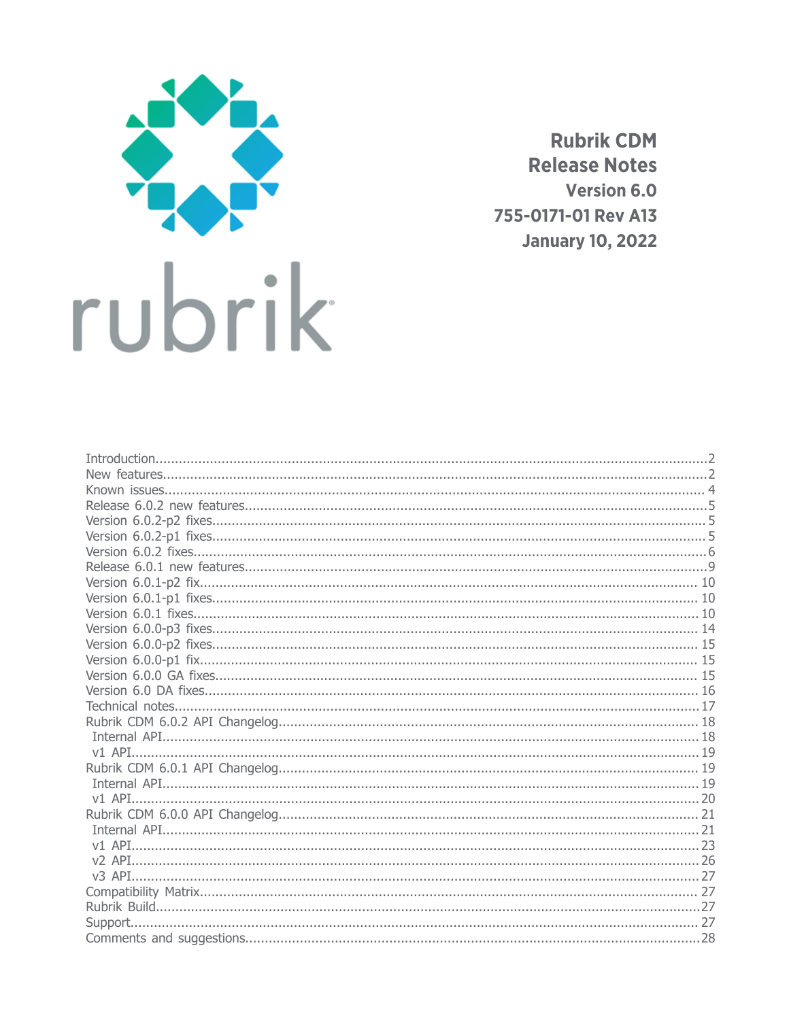

**Rubrik CDM Release Notes Version 6.0** 755-0171-01 Rev A13 **January 10, 2022**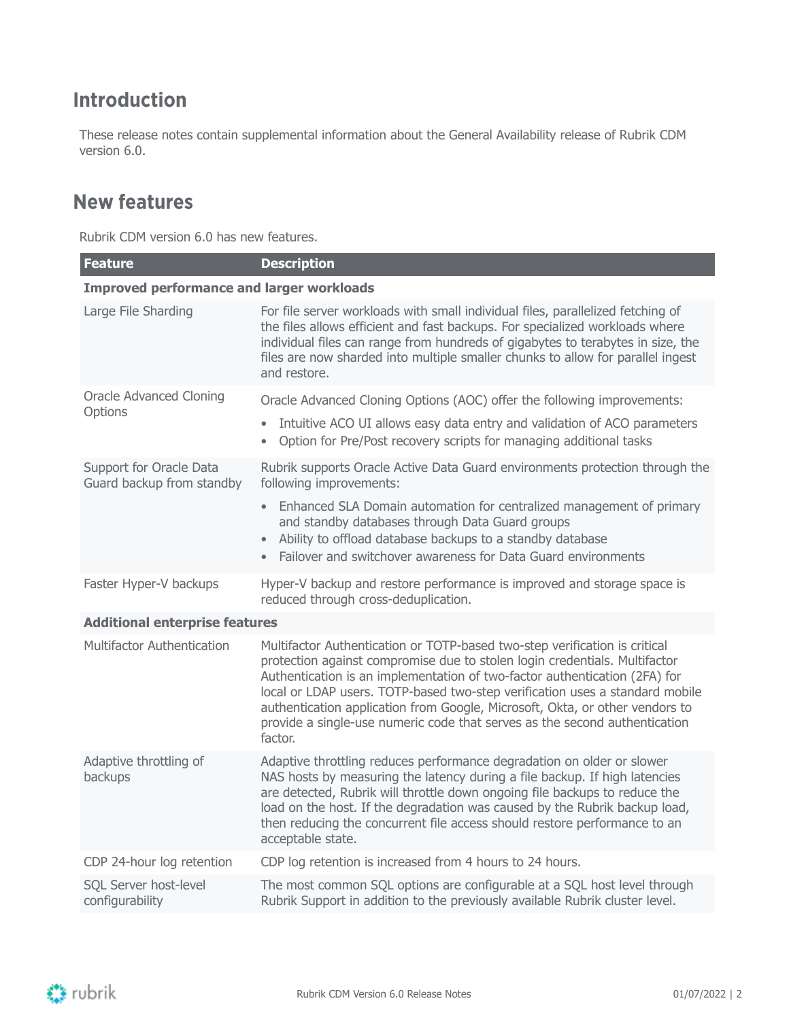## <span id="page-1-0"></span>**Introduction**

These release notes contain supplemental information about the General Availability release of Rubrik CDM version 6.0.

### <span id="page-1-1"></span>**New features**

Rubrik CDM version 6.0 has new features.

| Feature                                              | <b>Description</b>                                                                                                                                                                                                                                                                                                                                                                                                                                                                              |
|------------------------------------------------------|-------------------------------------------------------------------------------------------------------------------------------------------------------------------------------------------------------------------------------------------------------------------------------------------------------------------------------------------------------------------------------------------------------------------------------------------------------------------------------------------------|
| <b>Improved performance and larger workloads</b>     |                                                                                                                                                                                                                                                                                                                                                                                                                                                                                                 |
| Large File Sharding                                  | For file server workloads with small individual files, parallelized fetching of<br>the files allows efficient and fast backups. For specialized workloads where<br>individual files can range from hundreds of gigabytes to terabytes in size, the<br>files are now sharded into multiple smaller chunks to allow for parallel ingest<br>and restore.                                                                                                                                           |
| <b>Oracle Advanced Cloning</b>                       | Oracle Advanced Cloning Options (AOC) offer the following improvements:                                                                                                                                                                                                                                                                                                                                                                                                                         |
| Options                                              | Intuitive ACO UI allows easy data entry and validation of ACO parameters<br>$\bullet$<br>Option for Pre/Post recovery scripts for managing additional tasks<br>$\bullet$                                                                                                                                                                                                                                                                                                                        |
| Support for Oracle Data<br>Guard backup from standby | Rubrik supports Oracle Active Data Guard environments protection through the<br>following improvements:                                                                                                                                                                                                                                                                                                                                                                                         |
|                                                      | Enhanced SLA Domain automation for centralized management of primary<br>and standby databases through Data Guard groups<br>Ability to offload database backups to a standby database<br>Failover and switchover awareness for Data Guard environments<br>$\bullet$                                                                                                                                                                                                                              |
| Faster Hyper-V backups                               | Hyper-V backup and restore performance is improved and storage space is<br>reduced through cross-deduplication.                                                                                                                                                                                                                                                                                                                                                                                 |
| <b>Additional enterprise features</b>                |                                                                                                                                                                                                                                                                                                                                                                                                                                                                                                 |
| Multifactor Authentication                           | Multifactor Authentication or TOTP-based two-step verification is critical<br>protection against compromise due to stolen login credentials. Multifactor<br>Authentication is an implementation of two-factor authentication (2FA) for<br>local or LDAP users. TOTP-based two-step verification uses a standard mobile<br>authentication application from Google, Microsoft, Okta, or other vendors to<br>provide a single-use numeric code that serves as the second authentication<br>factor. |
| Adaptive throttling of<br>backups                    | Adaptive throttling reduces performance degradation on older or slower<br>NAS hosts by measuring the latency during a file backup. If high latencies<br>are detected, Rubrik will throttle down ongoing file backups to reduce the<br>load on the host. If the degradation was caused by the Rubrik backup load,<br>then reducing the concurrent file access should restore performance to an<br>acceptable state.                                                                              |
| CDP 24-hour log retention                            | CDP log retention is increased from 4 hours to 24 hours.                                                                                                                                                                                                                                                                                                                                                                                                                                        |
| SQL Server host-level<br>configurability             | The most common SQL options are configurable at a SQL host level through<br>Rubrik Support in addition to the previously available Rubrik cluster level.                                                                                                                                                                                                                                                                                                                                        |

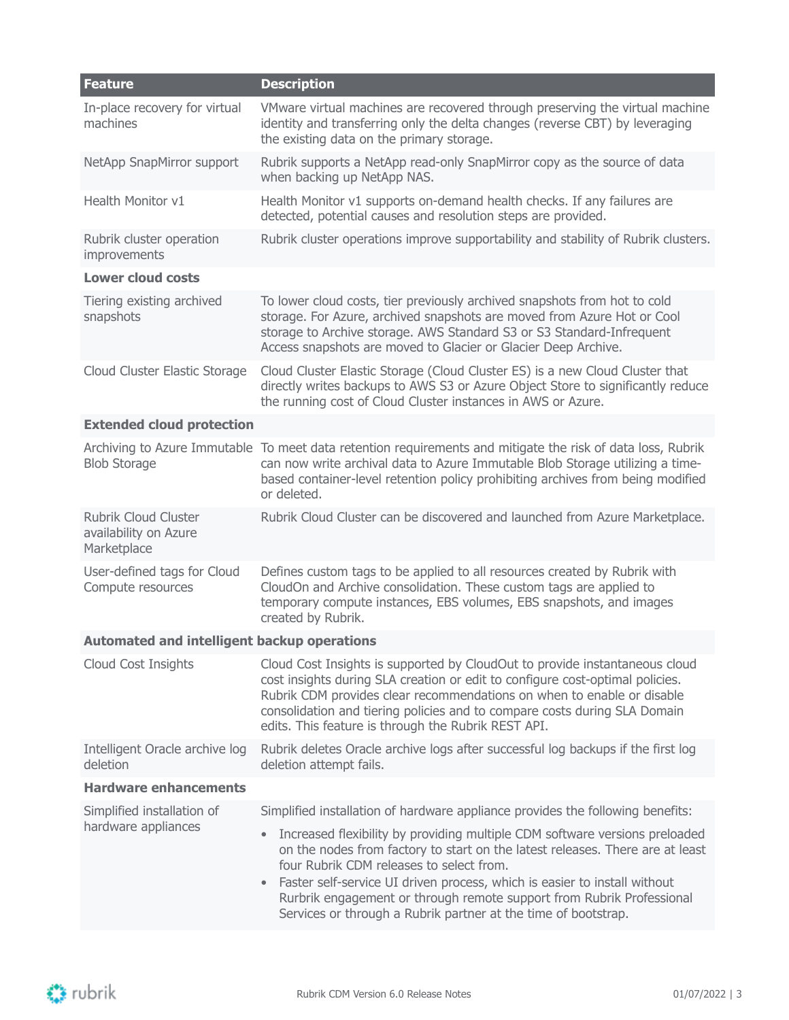| Feature                                                             | <b>Description</b>                                                                                                                                                                                                                                                                                                                                                                                                                                         |
|---------------------------------------------------------------------|------------------------------------------------------------------------------------------------------------------------------------------------------------------------------------------------------------------------------------------------------------------------------------------------------------------------------------------------------------------------------------------------------------------------------------------------------------|
| In-place recovery for virtual<br>machines                           | VMware virtual machines are recovered through preserving the virtual machine<br>identity and transferring only the delta changes (reverse CBT) by leveraging<br>the existing data on the primary storage.                                                                                                                                                                                                                                                  |
| NetApp SnapMirror support                                           | Rubrik supports a NetApp read-only SnapMirror copy as the source of data<br>when backing up NetApp NAS.                                                                                                                                                                                                                                                                                                                                                    |
| Health Monitor v1                                                   | Health Monitor v1 supports on-demand health checks. If any failures are<br>detected, potential causes and resolution steps are provided.                                                                                                                                                                                                                                                                                                                   |
| Rubrik cluster operation<br>improvements                            | Rubrik cluster operations improve supportability and stability of Rubrik clusters.                                                                                                                                                                                                                                                                                                                                                                         |
| <b>Lower cloud costs</b>                                            |                                                                                                                                                                                                                                                                                                                                                                                                                                                            |
| Tiering existing archived<br>snapshots                              | To lower cloud costs, tier previously archived snapshots from hot to cold<br>storage. For Azure, archived snapshots are moved from Azure Hot or Cool<br>storage to Archive storage. AWS Standard S3 or S3 Standard-Infrequent<br>Access snapshots are moved to Glacier or Glacier Deep Archive.                                                                                                                                                            |
| Cloud Cluster Elastic Storage                                       | Cloud Cluster Elastic Storage (Cloud Cluster ES) is a new Cloud Cluster that<br>directly writes backups to AWS S3 or Azure Object Store to significantly reduce<br>the running cost of Cloud Cluster instances in AWS or Azure.                                                                                                                                                                                                                            |
| <b>Extended cloud protection</b>                                    |                                                                                                                                                                                                                                                                                                                                                                                                                                                            |
| <b>Blob Storage</b>                                                 | Archiving to Azure Immutable To meet data retention requirements and mitigate the risk of data loss, Rubrik<br>can now write archival data to Azure Immutable Blob Storage utilizing a time-<br>based container-level retention policy prohibiting archives from being modified<br>or deleted.                                                                                                                                                             |
| <b>Rubrik Cloud Cluster</b><br>availability on Azure<br>Marketplace | Rubrik Cloud Cluster can be discovered and launched from Azure Marketplace.                                                                                                                                                                                                                                                                                                                                                                                |
| User-defined tags for Cloud<br>Compute resources                    | Defines custom tags to be applied to all resources created by Rubrik with<br>CloudOn and Archive consolidation. These custom tags are applied to<br>temporary compute instances, EBS volumes, EBS snapshots, and images<br>created by Rubrik.                                                                                                                                                                                                              |
| <b>Automated and intelligent backup operations</b>                  |                                                                                                                                                                                                                                                                                                                                                                                                                                                            |
| Cloud Cost Insights                                                 | Cloud Cost Insights is supported by CloudOut to provide instantaneous cloud<br>cost insights during SLA creation or edit to configure cost-optimal policies.<br>Rubrik CDM provides clear recommendations on when to enable or disable<br>consolidation and tiering policies and to compare costs during SLA Domain<br>edits. This feature is through the Rubrik REST API.                                                                                 |
| Intelligent Oracle archive log<br>deletion                          | Rubrik deletes Oracle archive logs after successful log backups if the first log<br>deletion attempt fails.                                                                                                                                                                                                                                                                                                                                                |
| <b>Hardware enhancements</b>                                        |                                                                                                                                                                                                                                                                                                                                                                                                                                                            |
| Simplified installation of                                          | Simplified installation of hardware appliance provides the following benefits:                                                                                                                                                                                                                                                                                                                                                                             |
| hardware appliances                                                 | Increased flexibility by providing multiple CDM software versions preloaded<br>$\bullet$<br>on the nodes from factory to start on the latest releases. There are at least<br>four Rubrik CDM releases to select from.<br>Faster self-service UI driven process, which is easier to install without<br>$\bullet$<br>Rurbrik engagement or through remote support from Rubrik Professional<br>Services or through a Rubrik partner at the time of bootstrap. |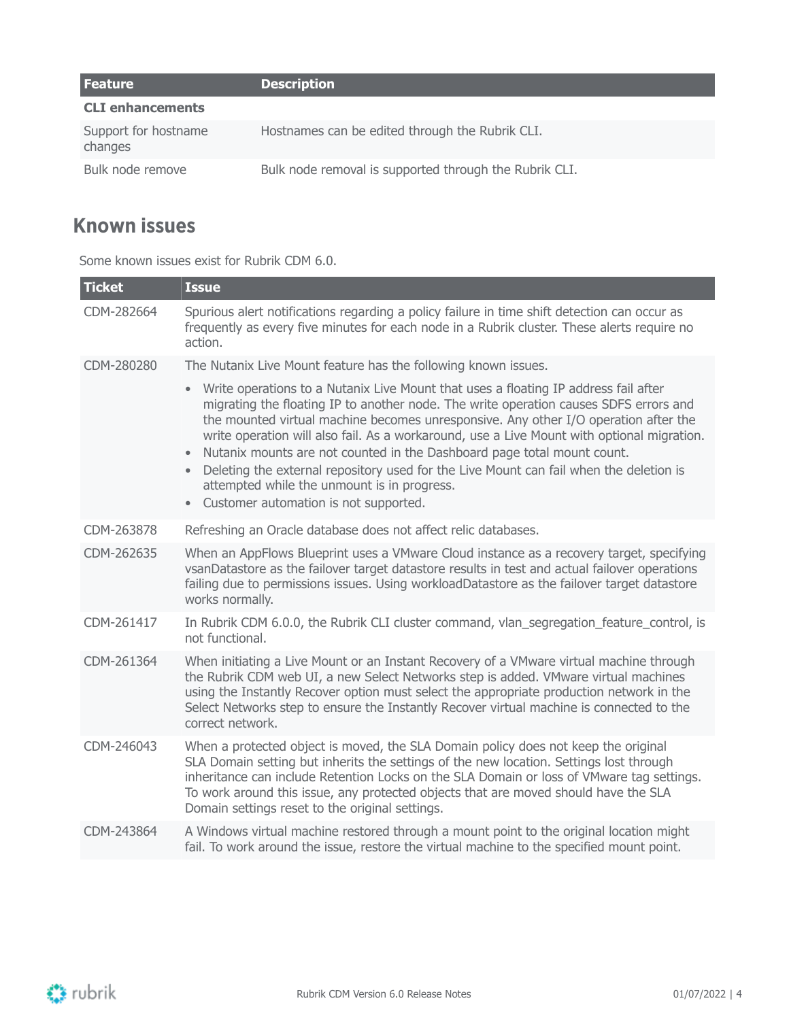| Feature                         | <b>Description</b>                                     |
|---------------------------------|--------------------------------------------------------|
| <b>CLI enhancements</b>         |                                                        |
| Support for hostname<br>changes | Hostnames can be edited through the Rubrik CLI.        |
| Bulk node remove                | Bulk node removal is supported through the Rubrik CLI. |

## <span id="page-3-0"></span>**Known issues**

Some known issues exist for Rubrik CDM 6.0.

| <b>Ticket</b> | <b>Issue</b>                                                                                                                                                                                                                                                                                                                                                                                                                                                                                                                                                                                                                                             |
|---------------|----------------------------------------------------------------------------------------------------------------------------------------------------------------------------------------------------------------------------------------------------------------------------------------------------------------------------------------------------------------------------------------------------------------------------------------------------------------------------------------------------------------------------------------------------------------------------------------------------------------------------------------------------------|
| CDM-282664    | Spurious alert notifications regarding a policy failure in time shift detection can occur as<br>frequently as every five minutes for each node in a Rubrik cluster. These alerts require no<br>action.                                                                                                                                                                                                                                                                                                                                                                                                                                                   |
| CDM-280280    | The Nutanix Live Mount feature has the following known issues.                                                                                                                                                                                                                                                                                                                                                                                                                                                                                                                                                                                           |
|               | Write operations to a Nutanix Live Mount that uses a floating IP address fail after<br>$\bullet$<br>migrating the floating IP to another node. The write operation causes SDFS errors and<br>the mounted virtual machine becomes unresponsive. Any other I/O operation after the<br>write operation will also fail. As a workaround, use a Live Mount with optional migration.<br>Nutanix mounts are not counted in the Dashboard page total mount count.<br>Deleting the external repository used for the Live Mount can fail when the deletion is<br>attempted while the unmount is in progress.<br>Customer automation is not supported.<br>$\bullet$ |
| CDM-263878    | Refreshing an Oracle database does not affect relic databases.                                                                                                                                                                                                                                                                                                                                                                                                                                                                                                                                                                                           |
| CDM-262635    | When an AppFlows Blueprint uses a VMware Cloud instance as a recovery target, specifying<br>vsanDatastore as the failover target datastore results in test and actual failover operations<br>failing due to permissions issues. Using workloadDatastore as the failover target datastore<br>works normally.                                                                                                                                                                                                                                                                                                                                              |
| CDM-261417    | In Rubrik CDM 6.0.0, the Rubrik CLI cluster command, vlan_segregation_feature_control, is<br>not functional.                                                                                                                                                                                                                                                                                                                                                                                                                                                                                                                                             |
| CDM-261364    | When initiating a Live Mount or an Instant Recovery of a VMware virtual machine through<br>the Rubrik CDM web UI, a new Select Networks step is added. VMware virtual machines<br>using the Instantly Recover option must select the appropriate production network in the<br>Select Networks step to ensure the Instantly Recover virtual machine is connected to the<br>correct network.                                                                                                                                                                                                                                                               |
| CDM-246043    | When a protected object is moved, the SLA Domain policy does not keep the original<br>SLA Domain setting but inherits the settings of the new location. Settings lost through<br>inheritance can include Retention Locks on the SLA Domain or loss of VMware tag settings.<br>To work around this issue, any protected objects that are moved should have the SLA<br>Domain settings reset to the original settings.                                                                                                                                                                                                                                     |
| CDM-243864    | A Windows virtual machine restored through a mount point to the original location might<br>fail. To work around the issue, restore the virtual machine to the specified mount point.                                                                                                                                                                                                                                                                                                                                                                                                                                                                     |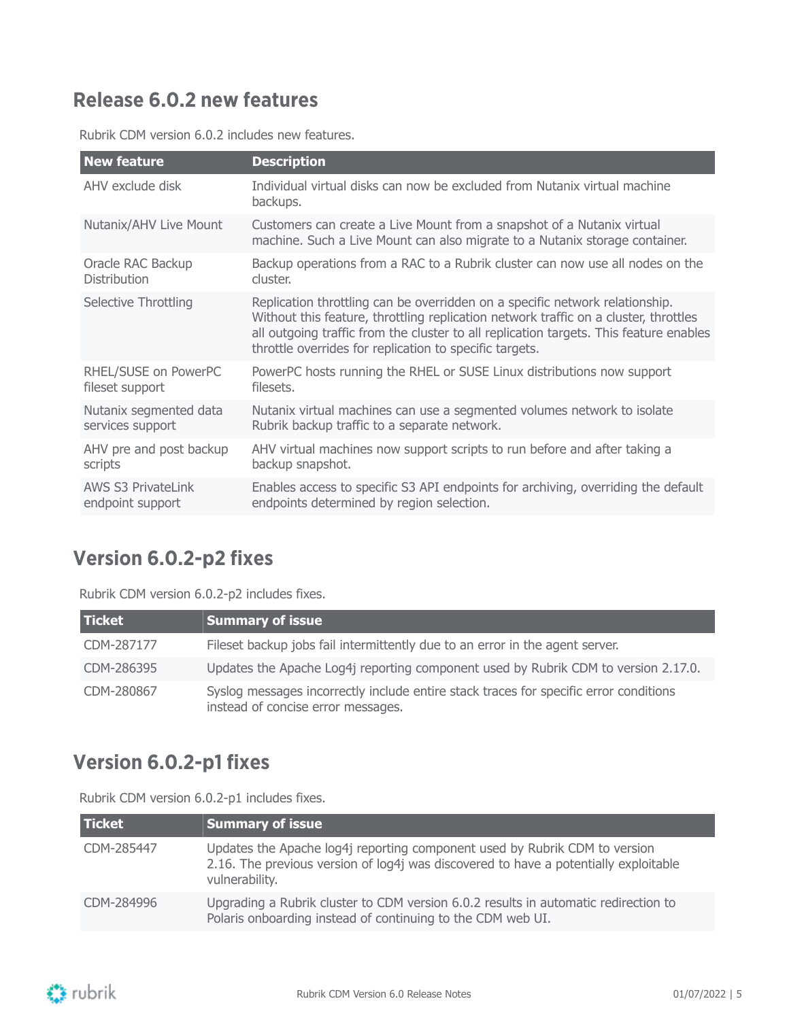## <span id="page-4-0"></span>**Release 6.0.2 new features**

| <b>New feature</b>        | <b>Description</b>                                                                                                                                                                                                                                                                                                        |
|---------------------------|---------------------------------------------------------------------------------------------------------------------------------------------------------------------------------------------------------------------------------------------------------------------------------------------------------------------------|
| AHV exclude disk          | Individual virtual disks can now be excluded from Nutanix virtual machine<br>backups.                                                                                                                                                                                                                                     |
| Nutanix/AHV Live Mount    | Customers can create a Live Mount from a snapshot of a Nutanix virtual<br>machine. Such a Live Mount can also migrate to a Nutanix storage container.                                                                                                                                                                     |
| Oracle RAC Backup         | Backup operations from a RAC to a Rubrik cluster can now use all nodes on the                                                                                                                                                                                                                                             |
| <b>Distribution</b>       | cluster.                                                                                                                                                                                                                                                                                                                  |
| Selective Throttling      | Replication throttling can be overridden on a specific network relationship.<br>Without this feature, throttling replication network traffic on a cluster, throttles<br>all outgoing traffic from the cluster to all replication targets. This feature enables<br>throttle overrides for replication to specific targets. |
| RHEL/SUSE on PowerPC      | PowerPC hosts running the RHEL or SUSE Linux distributions now support                                                                                                                                                                                                                                                    |
| fileset support           | filesets.                                                                                                                                                                                                                                                                                                                 |
| Nutanix segmented data    | Nutanix virtual machines can use a segmented volumes network to isolate                                                                                                                                                                                                                                                   |
| services support          | Rubrik backup traffic to a separate network.                                                                                                                                                                                                                                                                              |
| AHV pre and post backup   | AHV virtual machines now support scripts to run before and after taking a                                                                                                                                                                                                                                                 |
| scripts                   | backup snapshot.                                                                                                                                                                                                                                                                                                          |
| <b>AWS S3 PrivateLink</b> | Enables access to specific S3 API endpoints for archiving, overriding the default                                                                                                                                                                                                                                         |
| endpoint support          | endpoints determined by region selection.                                                                                                                                                                                                                                                                                 |
|                           |                                                                                                                                                                                                                                                                                                                           |

Rubrik CDM version 6.0.2 includes new features.

### <span id="page-4-1"></span>**Version 6.0.2-p2 fixes**

Rubrik CDM version 6.0.2-p2 includes fixes.

| <b>Ticket</b> | <b>Summary of issue</b>                                                                                                     |
|---------------|-----------------------------------------------------------------------------------------------------------------------------|
| CDM-287177    | Fileset backup jobs fail intermittently due to an error in the agent server.                                                |
| CDM-286395    | Updates the Apache Log4j reporting component used by Rubrik CDM to version 2.17.0.                                          |
| CDM-280867    | Syslog messages incorrectly include entire stack traces for specific error conditions<br>instead of concise error messages. |

## <span id="page-4-2"></span>**Version 6.0.2-p1 fixes**

Rubrik CDM version 6.0.2-p1 includes fixes.

| <b>Ticket</b> | <b>Summary of issue</b>                                                                                                                                                              |
|---------------|--------------------------------------------------------------------------------------------------------------------------------------------------------------------------------------|
| CDM-285447    | Updates the Apache log4j reporting component used by Rubrik CDM to version<br>2.16. The previous version of log4j was discovered to have a potentially exploitable<br>vulnerability. |
| CDM-284996    | Upgrading a Rubrik cluster to CDM version 6.0.2 results in automatic redirection to<br>Polaris onboarding instead of continuing to the CDM web UI.                                   |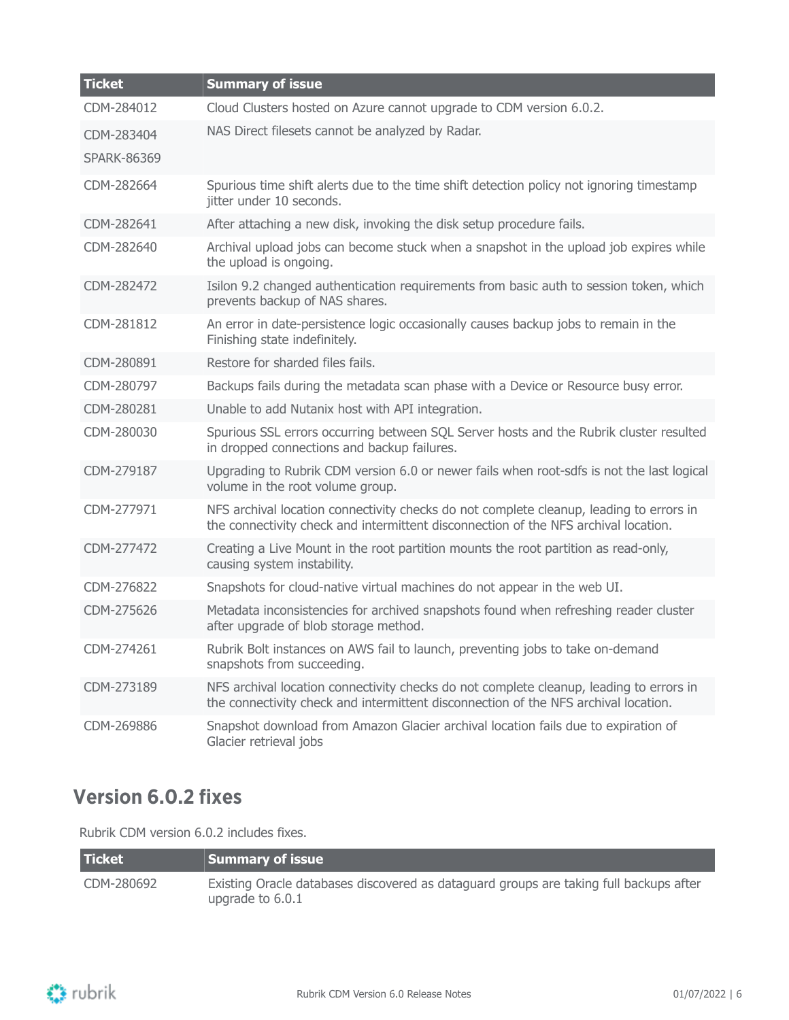| <b>Ticket</b>      | <b>Summary of issue</b>                                                                                                                                                        |
|--------------------|--------------------------------------------------------------------------------------------------------------------------------------------------------------------------------|
| CDM-284012         | Cloud Clusters hosted on Azure cannot upgrade to CDM version 6.0.2.                                                                                                            |
| CDM-283404         | NAS Direct filesets cannot be analyzed by Radar.                                                                                                                               |
| <b>SPARK-86369</b> |                                                                                                                                                                                |
| CDM-282664         | Spurious time shift alerts due to the time shift detection policy not ignoring timestamp<br>jitter under 10 seconds.                                                           |
| CDM-282641         | After attaching a new disk, invoking the disk setup procedure fails.                                                                                                           |
| CDM-282640         | Archival upload jobs can become stuck when a snapshot in the upload job expires while<br>the upload is ongoing.                                                                |
| CDM-282472         | Isilon 9.2 changed authentication requirements from basic auth to session token, which<br>prevents backup of NAS shares.                                                       |
| CDM-281812         | An error in date-persistence logic occasionally causes backup jobs to remain in the<br>Finishing state indefinitely.                                                           |
| CDM-280891         | Restore for sharded files fails.                                                                                                                                               |
| CDM-280797         | Backups fails during the metadata scan phase with a Device or Resource busy error.                                                                                             |
| CDM-280281         | Unable to add Nutanix host with API integration.                                                                                                                               |
| CDM-280030         | Spurious SSL errors occurring between SQL Server hosts and the Rubrik cluster resulted<br>in dropped connections and backup failures.                                          |
| CDM-279187         | Upgrading to Rubrik CDM version 6.0 or newer fails when root-sdfs is not the last logical<br>volume in the root volume group.                                                  |
| CDM-277971         | NFS archival location connectivity checks do not complete cleanup, leading to errors in<br>the connectivity check and intermittent disconnection of the NFS archival location. |
| CDM-277472         | Creating a Live Mount in the root partition mounts the root partition as read-only,<br>causing system instability.                                                             |
| CDM-276822         | Snapshots for cloud-native virtual machines do not appear in the web UI.                                                                                                       |
| CDM-275626         | Metadata inconsistencies for archived snapshots found when refreshing reader cluster<br>after upgrade of blob storage method.                                                  |
| CDM-274261         | Rubrik Bolt instances on AWS fail to launch, preventing jobs to take on-demand<br>snapshots from succeeding.                                                                   |
| CDM-273189         | NFS archival location connectivity checks do not complete cleanup, leading to errors in<br>the connectivity check and intermittent disconnection of the NFS archival location. |
| CDM-269886         | Snapshot download from Amazon Glacier archival location fails due to expiration of<br>Glacier retrieval jobs                                                                   |

### <span id="page-5-0"></span>**Version 6.0.2 fixes**

Rubrik CDM version 6.0.2 includes fixes.

| <b>Ticket</b> | Summary of issue                                                                                           |
|---------------|------------------------------------------------------------------------------------------------------------|
| CDM-280692    | Existing Oracle databases discovered as dataguard groups are taking full backups after<br>upgrade to 6.0.1 |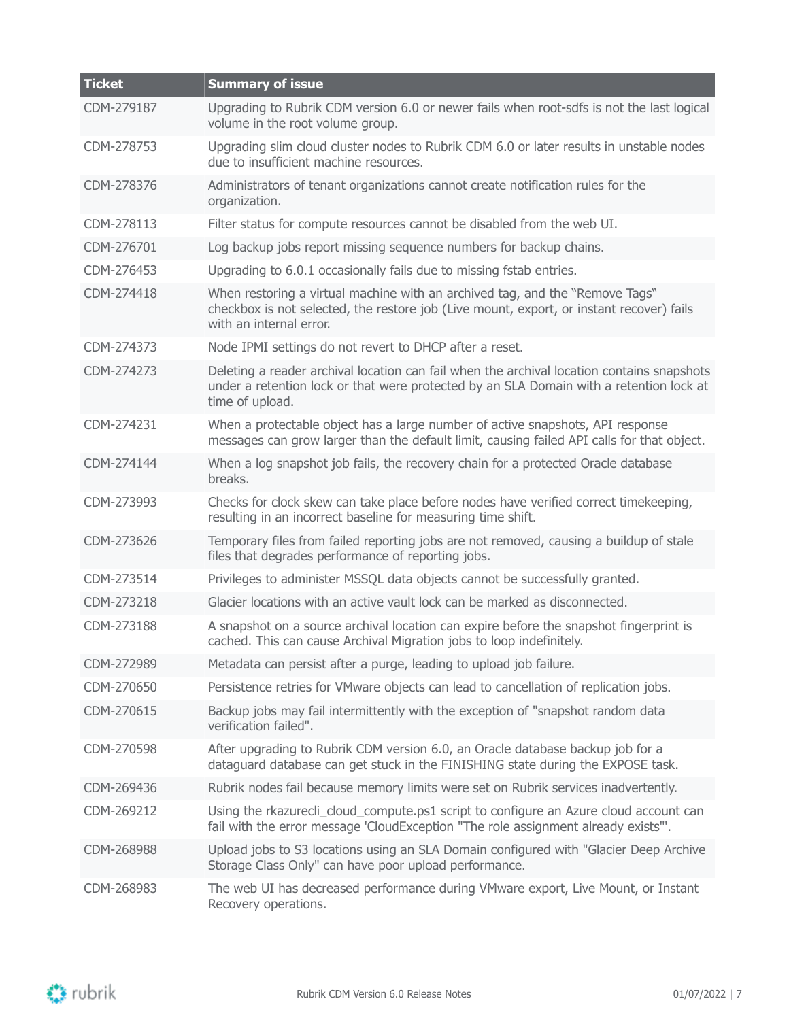| <b>Ticket</b> | <b>Summary of issue</b>                                                                                                                                                                                  |
|---------------|----------------------------------------------------------------------------------------------------------------------------------------------------------------------------------------------------------|
| CDM-279187    | Upgrading to Rubrik CDM version 6.0 or newer fails when root-sdfs is not the last logical<br>volume in the root volume group.                                                                            |
| CDM-278753    | Upgrading slim cloud cluster nodes to Rubrik CDM 6.0 or later results in unstable nodes<br>due to insufficient machine resources.                                                                        |
| CDM-278376    | Administrators of tenant organizations cannot create notification rules for the<br>organization.                                                                                                         |
| CDM-278113    | Filter status for compute resources cannot be disabled from the web UI.                                                                                                                                  |
| CDM-276701    | Log backup jobs report missing sequence numbers for backup chains.                                                                                                                                       |
| CDM-276453    | Upgrading to 6.0.1 occasionally fails due to missing fstab entries.                                                                                                                                      |
| CDM-274418    | When restoring a virtual machine with an archived tag, and the "Remove Tags"<br>checkbox is not selected, the restore job (Live mount, export, or instant recover) fails<br>with an internal error.      |
| CDM-274373    | Node IPMI settings do not revert to DHCP after a reset.                                                                                                                                                  |
| CDM-274273    | Deleting a reader archival location can fail when the archival location contains snapshots<br>under a retention lock or that were protected by an SLA Domain with a retention lock at<br>time of upload. |
| CDM-274231    | When a protectable object has a large number of active snapshots, API response<br>messages can grow larger than the default limit, causing failed API calls for that object.                             |
| CDM-274144    | When a log snapshot job fails, the recovery chain for a protected Oracle database<br>breaks.                                                                                                             |
| CDM-273993    | Checks for clock skew can take place before nodes have verified correct timekeeping,<br>resulting in an incorrect baseline for measuring time shift.                                                     |
| CDM-273626    | Temporary files from failed reporting jobs are not removed, causing a buildup of stale<br>files that degrades performance of reporting jobs.                                                             |
| CDM-273514    | Privileges to administer MSSQL data objects cannot be successfully granted.                                                                                                                              |
| CDM-273218    | Glacier locations with an active vault lock can be marked as disconnected.                                                                                                                               |
| CDM-273188    | A snapshot on a source archival location can expire before the snapshot fingerprint is<br>cached. This can cause Archival Migration jobs to loop indefinitely.                                           |
| CDM-272989    | Metadata can persist after a purge, leading to upload job failure.                                                                                                                                       |
| CDM-270650    | Persistence retries for VMware objects can lead to cancellation of replication jobs.                                                                                                                     |
| CDM-270615    | Backup jobs may fail intermittently with the exception of "snapshot random data<br>verification failed".                                                                                                 |
| CDM-270598    | After upgrading to Rubrik CDM version 6.0, an Oracle database backup job for a<br>dataguard database can get stuck in the FINISHING state during the EXPOSE task.                                        |
| CDM-269436    | Rubrik nodes fail because memory limits were set on Rubrik services inadvertently.                                                                                                                       |
| CDM-269212    | Using the rkazurecli_cloud_compute.ps1 script to configure an Azure cloud account can<br>fail with the error message 'CloudException "The role assignment already exists"'.                              |
| CDM-268988    | Upload jobs to S3 locations using an SLA Domain configured with "Glacier Deep Archive<br>Storage Class Only" can have poor upload performance.                                                           |
| CDM-268983    | The web UI has decreased performance during VMware export, Live Mount, or Instant<br>Recovery operations.                                                                                                |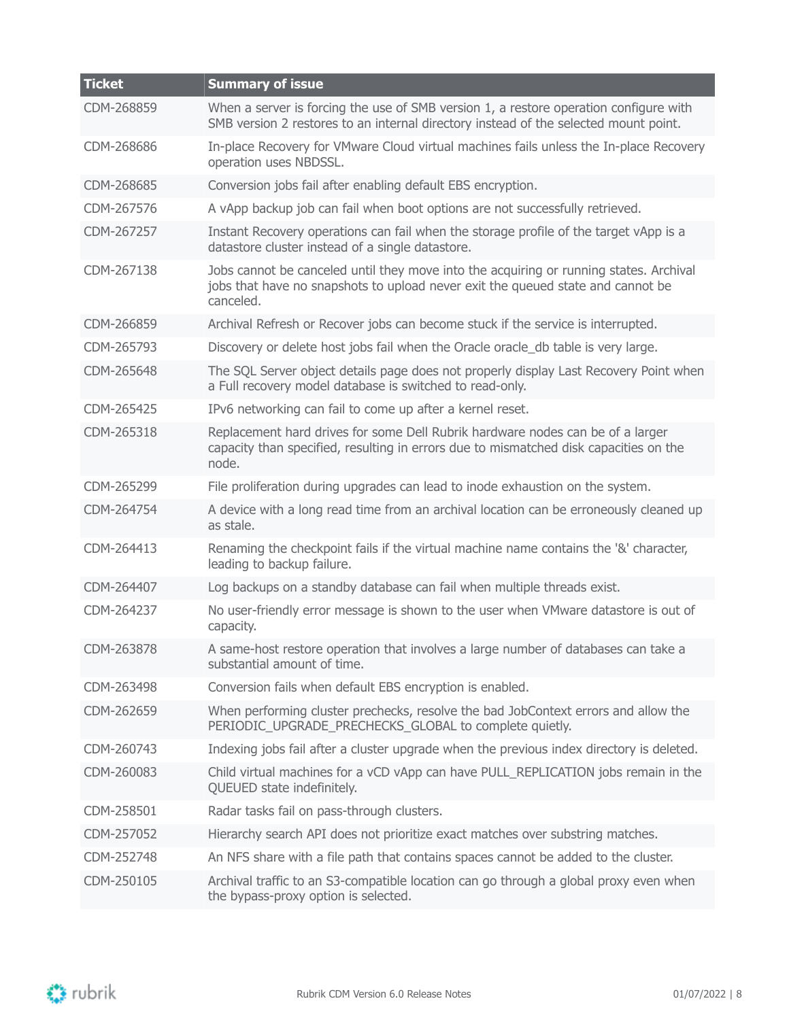| <b>Ticket</b> | <b>Summary of issue</b>                                                                                                                                                                |
|---------------|----------------------------------------------------------------------------------------------------------------------------------------------------------------------------------------|
| CDM-268859    | When a server is forcing the use of SMB version 1, a restore operation configure with<br>SMB version 2 restores to an internal directory instead of the selected mount point.          |
| CDM-268686    | In-place Recovery for VMware Cloud virtual machines fails unless the In-place Recovery<br>operation uses NBDSSL.                                                                       |
| CDM-268685    | Conversion jobs fail after enabling default EBS encryption.                                                                                                                            |
| CDM-267576    | A vApp backup job can fail when boot options are not successfully retrieved.                                                                                                           |
| CDM-267257    | Instant Recovery operations can fail when the storage profile of the target vApp is a<br>datastore cluster instead of a single datastore.                                              |
| CDM-267138    | Jobs cannot be canceled until they move into the acquiring or running states. Archival<br>jobs that have no snapshots to upload never exit the queued state and cannot be<br>canceled. |
| CDM-266859    | Archival Refresh or Recover jobs can become stuck if the service is interrupted.                                                                                                       |
| CDM-265793    | Discovery or delete host jobs fail when the Oracle oracle db table is very large.                                                                                                      |
| CDM-265648    | The SQL Server object details page does not properly display Last Recovery Point when<br>a Full recovery model database is switched to read-only.                                      |
| CDM-265425    | IPv6 networking can fail to come up after a kernel reset.                                                                                                                              |
| CDM-265318    | Replacement hard drives for some Dell Rubrik hardware nodes can be of a larger<br>capacity than specified, resulting in errors due to mismatched disk capacities on the<br>node.       |
| CDM-265299    | File proliferation during upgrades can lead to inode exhaustion on the system.                                                                                                         |
| CDM-264754    | A device with a long read time from an archival location can be erroneously cleaned up<br>as stale.                                                                                    |
| CDM-264413    | Renaming the checkpoint fails if the virtual machine name contains the '&' character,<br>leading to backup failure.                                                                    |
| CDM-264407    | Log backups on a standby database can fail when multiple threads exist.                                                                                                                |
| CDM-264237    | No user-friendly error message is shown to the user when VMware datastore is out of<br>capacity.                                                                                       |
| CDM-263878    | A same-host restore operation that involves a large number of databases can take a<br>substantial amount of time.                                                                      |
| CDM-263498    | Conversion fails when default EBS encryption is enabled.                                                                                                                               |
| CDM-262659    | When performing cluster prechecks, resolve the bad JobContext errors and allow the<br>PERIODIC_UPGRADE_PRECHECKS_GLOBAL to complete quietly.                                           |
| CDM-260743    | Indexing jobs fail after a cluster upgrade when the previous index directory is deleted.                                                                                               |
| CDM-260083    | Child virtual machines for a vCD vApp can have PULL_REPLICATION jobs remain in the<br>QUEUED state indefinitely.                                                                       |
| CDM-258501    | Radar tasks fail on pass-through clusters.                                                                                                                                             |
| CDM-257052    | Hierarchy search API does not prioritize exact matches over substring matches.                                                                                                         |
| CDM-252748    | An NFS share with a file path that contains spaces cannot be added to the cluster.                                                                                                     |
| CDM-250105    | Archival traffic to an S3-compatible location can go through a global proxy even when<br>the bypass-proxy option is selected.                                                          |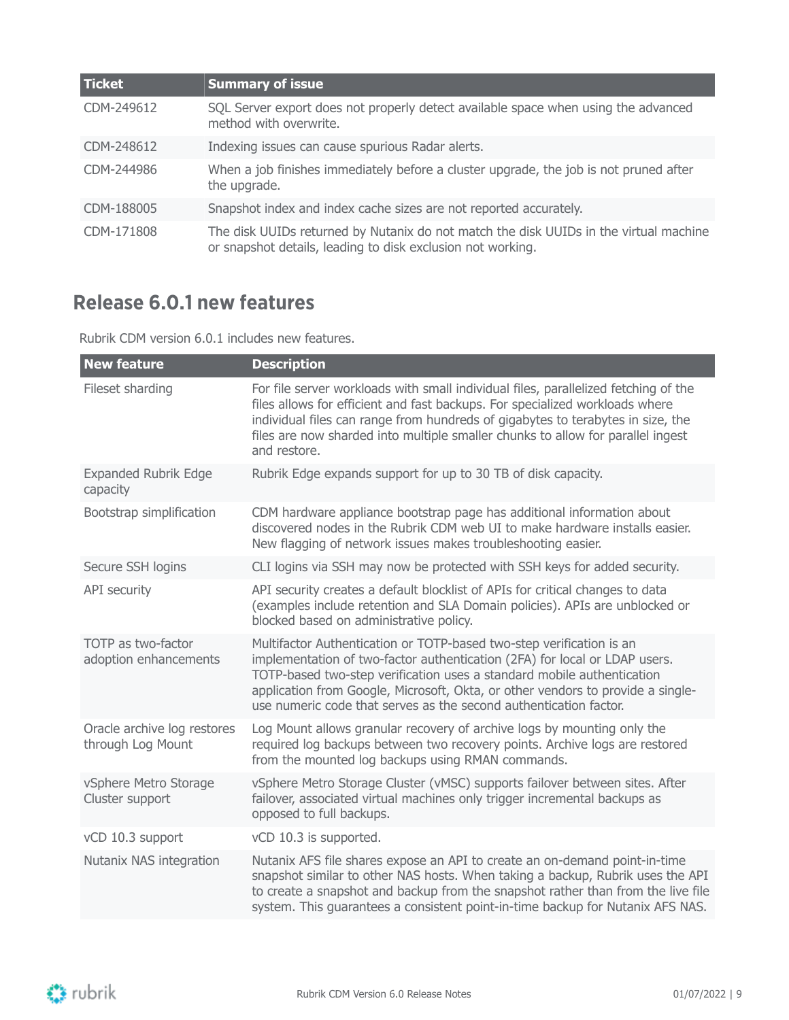| <b>Ticket</b> | <b>Summary of issue</b>                                                                                                                              |
|---------------|------------------------------------------------------------------------------------------------------------------------------------------------------|
| CDM-249612    | SQL Server export does not properly detect available space when using the advanced<br>method with overwrite.                                         |
| CDM-248612    | Indexing issues can cause spurious Radar alerts.                                                                                                     |
| CDM-244986    | When a job finishes immediately before a cluster upgrade, the job is not pruned after<br>the upgrade.                                                |
| CDM-188005    | Snapshot index and index cache sizes are not reported accurately.                                                                                    |
| CDM-171808    | The disk UUIDs returned by Nutanix do not match the disk UUIDs in the virtual machine<br>or snapshot details, leading to disk exclusion not working. |

## <span id="page-8-0"></span>**Release 6.0.1 new features**

Rubrik CDM version 6.0.1 includes new features.

| <b>New feature</b>                               | <b>Description</b>                                                                                                                                                                                                                                                                                                                                                                   |
|--------------------------------------------------|--------------------------------------------------------------------------------------------------------------------------------------------------------------------------------------------------------------------------------------------------------------------------------------------------------------------------------------------------------------------------------------|
| Fileset sharding                                 | For file server workloads with small individual files, parallelized fetching of the<br>files allows for efficient and fast backups. For specialized workloads where<br>individual files can range from hundreds of gigabytes to terabytes in size, the<br>files are now sharded into multiple smaller chunks to allow for parallel ingest<br>and restore.                            |
| <b>Expanded Rubrik Edge</b><br>capacity          | Rubrik Edge expands support for up to 30 TB of disk capacity.                                                                                                                                                                                                                                                                                                                        |
| Bootstrap simplification                         | CDM hardware appliance bootstrap page has additional information about<br>discovered nodes in the Rubrik CDM web UI to make hardware installs easier.<br>New flagging of network issues makes troubleshooting easier.                                                                                                                                                                |
| Secure SSH logins                                | CLI logins via SSH may now be protected with SSH keys for added security.                                                                                                                                                                                                                                                                                                            |
| API security                                     | API security creates a default blocklist of APIs for critical changes to data<br>(examples include retention and SLA Domain policies). APIs are unblocked or<br>blocked based on administrative policy.                                                                                                                                                                              |
| TOTP as two-factor<br>adoption enhancements      | Multifactor Authentication or TOTP-based two-step verification is an<br>implementation of two-factor authentication (2FA) for local or LDAP users.<br>TOTP-based two-step verification uses a standard mobile authentication<br>application from Google, Microsoft, Okta, or other vendors to provide a single-<br>use numeric code that serves as the second authentication factor. |
| Oracle archive log restores<br>through Log Mount | Log Mount allows granular recovery of archive logs by mounting only the<br>required log backups between two recovery points. Archive logs are restored<br>from the mounted log backups using RMAN commands.                                                                                                                                                                          |
| vSphere Metro Storage<br>Cluster support         | vSphere Metro Storage Cluster (vMSC) supports failover between sites. After<br>failover, associated virtual machines only trigger incremental backups as<br>opposed to full backups.                                                                                                                                                                                                 |
| vCD 10.3 support                                 | vCD 10.3 is supported.                                                                                                                                                                                                                                                                                                                                                               |
| Nutanix NAS integration                          | Nutanix AFS file shares expose an API to create an on-demand point-in-time<br>snapshot similar to other NAS hosts. When taking a backup, Rubrik uses the API<br>to create a snapshot and backup from the snapshot rather than from the live file<br>system. This guarantees a consistent point-in-time backup for Nutanix AFS NAS.                                                   |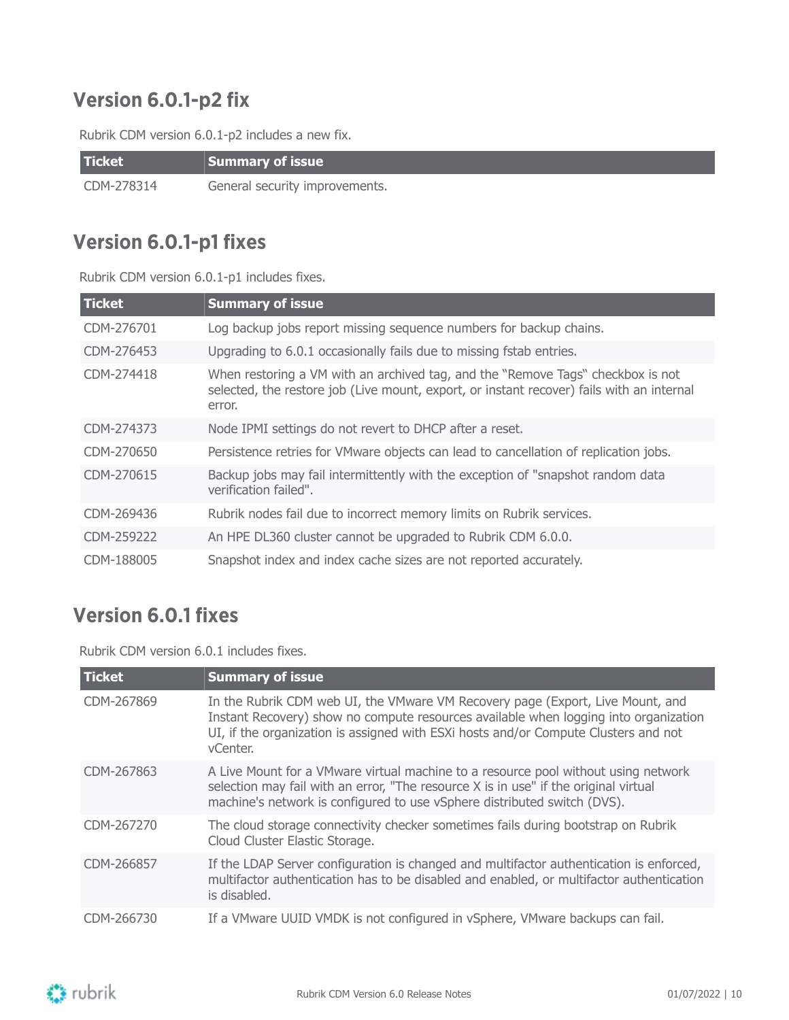## <span id="page-9-0"></span>**Version 6.0.1-p2 fix**

Rubrik CDM version 6.0.1-p2 includes a new fix.

| <b>Ticket</b> | Summary of issue               |
|---------------|--------------------------------|
| CDM-278314    | General security improvements. |

### <span id="page-9-1"></span>**Version 6.0.1-p1 fixes**

Rubrik CDM version 6.0.1-p1 includes fixes.

| <b>Ticket</b> | <b>Summary of issue</b>                                                                                                                                                                |
|---------------|----------------------------------------------------------------------------------------------------------------------------------------------------------------------------------------|
| CDM-276701    | Log backup jobs report missing sequence numbers for backup chains.                                                                                                                     |
| CDM-276453    | Upgrading to 6.0.1 occasionally fails due to missing fstab entries.                                                                                                                    |
| CDM-274418    | When restoring a VM with an archived tag, and the "Remove Tags" checkbox is not<br>selected, the restore job (Live mount, export, or instant recover) fails with an internal<br>error. |
| CDM-274373    | Node IPMI settings do not revert to DHCP after a reset.                                                                                                                                |
| CDM-270650    | Persistence retries for VMware objects can lead to cancellation of replication jobs.                                                                                                   |
| CDM-270615    | Backup jobs may fail intermittently with the exception of "snapshot random data<br>verification failed".                                                                               |
| CDM-269436    | Rubrik nodes fail due to incorrect memory limits on Rubrik services.                                                                                                                   |
| CDM-259222    | An HPE DL360 cluster cannot be upgraded to Rubrik CDM 6.0.0.                                                                                                                           |
| CDM-188005    | Snapshot index and index cache sizes are not reported accurately.                                                                                                                      |

### <span id="page-9-2"></span>**Version 6.0.1 fixes**

Rubrik CDM version 6.0.1 includes fixes.

| <b>Ticket</b> | <b>Summary of issue</b>                                                                                                                                                                                                                                                   |
|---------------|---------------------------------------------------------------------------------------------------------------------------------------------------------------------------------------------------------------------------------------------------------------------------|
| CDM-267869    | In the Rubrik CDM web UI, the VMware VM Recovery page (Export, Live Mount, and<br>Instant Recovery) show no compute resources available when logging into organization<br>UI, if the organization is assigned with ESXi hosts and/or Compute Clusters and not<br>vCenter. |
| CDM-267863    | A Live Mount for a VMware virtual machine to a resource pool without using network<br>selection may fail with an error, "The resource X is in use" if the original virtual<br>machine's network is configured to use vSphere distributed switch (DVS).                    |
| CDM-267270    | The cloud storage connectivity checker sometimes fails during bootstrap on Rubrik<br>Cloud Cluster Elastic Storage.                                                                                                                                                       |
| CDM-266857    | If the LDAP Server configuration is changed and multifactor authentication is enforced,<br>multifactor authentication has to be disabled and enabled, or multifactor authentication<br>is disabled.                                                                       |
| CDM-266730    | If a VMware UUID VMDK is not configured in vSphere, VMware backups can fail.                                                                                                                                                                                              |

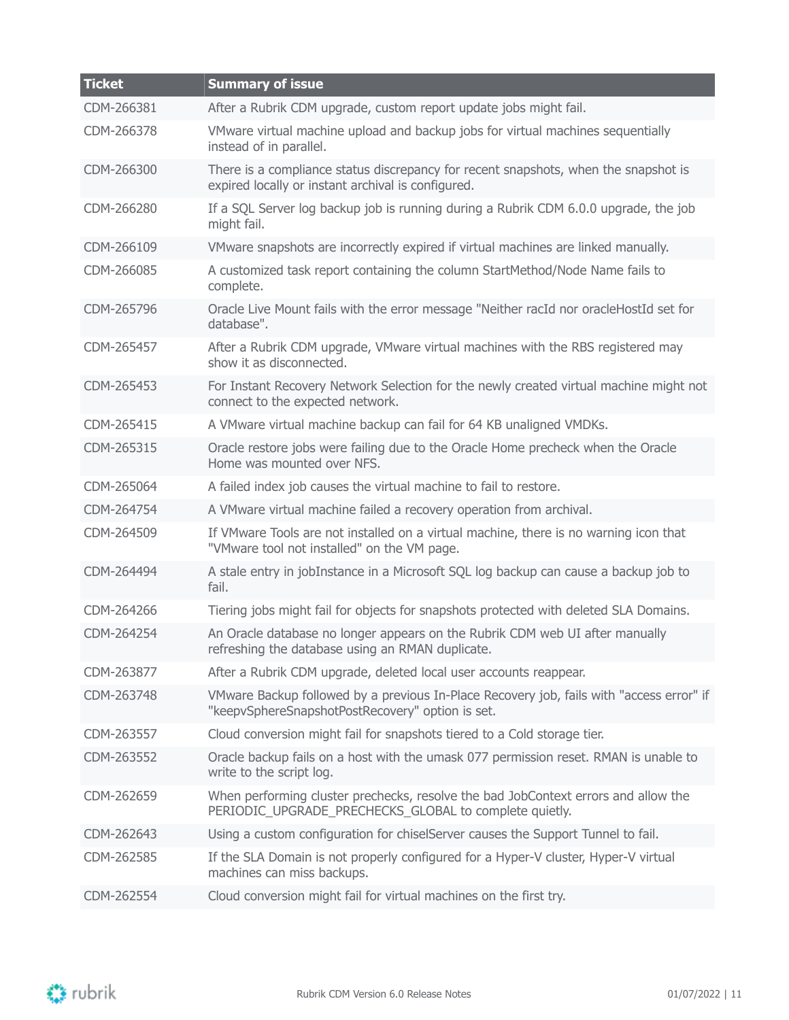| <b>Ticket</b> | <b>Summary of issue</b>                                                                                                                      |
|---------------|----------------------------------------------------------------------------------------------------------------------------------------------|
| CDM-266381    | After a Rubrik CDM upgrade, custom report update jobs might fail.                                                                            |
| CDM-266378    | VMware virtual machine upload and backup jobs for virtual machines sequentially<br>instead of in parallel.                                   |
| CDM-266300    | There is a compliance status discrepancy for recent snapshots, when the snapshot is<br>expired locally or instant archival is configured.    |
| CDM-266280    | If a SQL Server log backup job is running during a Rubrik CDM 6.0.0 upgrade, the job<br>might fail.                                          |
| CDM-266109    | VMware snapshots are incorrectly expired if virtual machines are linked manually.                                                            |
| CDM-266085    | A customized task report containing the column StartMethod/Node Name fails to<br>complete.                                                   |
| CDM-265796    | Oracle Live Mount fails with the error message "Neither racId nor oracleHostId set for<br>database".                                         |
| CDM-265457    | After a Rubrik CDM upgrade, VMware virtual machines with the RBS registered may<br>show it as disconnected.                                  |
| CDM-265453    | For Instant Recovery Network Selection for the newly created virtual machine might not<br>connect to the expected network.                   |
| CDM-265415    | A VMware virtual machine backup can fail for 64 KB unaligned VMDKs.                                                                          |
| CDM-265315    | Oracle restore jobs were failing due to the Oracle Home precheck when the Oracle<br>Home was mounted over NFS.                               |
| CDM-265064    | A failed index job causes the virtual machine to fail to restore.                                                                            |
| CDM-264754    | A VMware virtual machine failed a recovery operation from archival.                                                                          |
| CDM-264509    | If VMware Tools are not installed on a virtual machine, there is no warning icon that<br>"VMware tool not installed" on the VM page.         |
| CDM-264494    | A stale entry in jobInstance in a Microsoft SQL log backup can cause a backup job to<br>fail.                                                |
| CDM-264266    | Tiering jobs might fail for objects for snapshots protected with deleted SLA Domains.                                                        |
| CDM-264254    | An Oracle database no longer appears on the Rubrik CDM web UI after manually<br>refreshing the database using an RMAN duplicate.             |
| CDM-263877    | After a Rubrik CDM upgrade, deleted local user accounts reappear.                                                                            |
| CDM-263748    | VMware Backup followed by a previous In-Place Recovery job, fails with "access error" if<br>"keepvSphereSnapshotPostRecovery" option is set. |
| CDM-263557    | Cloud conversion might fail for snapshots tiered to a Cold storage tier.                                                                     |
| CDM-263552    | Oracle backup fails on a host with the umask 077 permission reset. RMAN is unable to<br>write to the script log.                             |
| CDM-262659    | When performing cluster prechecks, resolve the bad JobContext errors and allow the<br>PERIODIC UPGRADE PRECHECKS GLOBAL to complete quietly. |
| CDM-262643    | Using a custom configuration for chiselServer causes the Support Tunnel to fail.                                                             |
| CDM-262585    | If the SLA Domain is not properly configured for a Hyper-V cluster, Hyper-V virtual<br>machines can miss backups.                            |
| CDM-262554    | Cloud conversion might fail for virtual machines on the first try.                                                                           |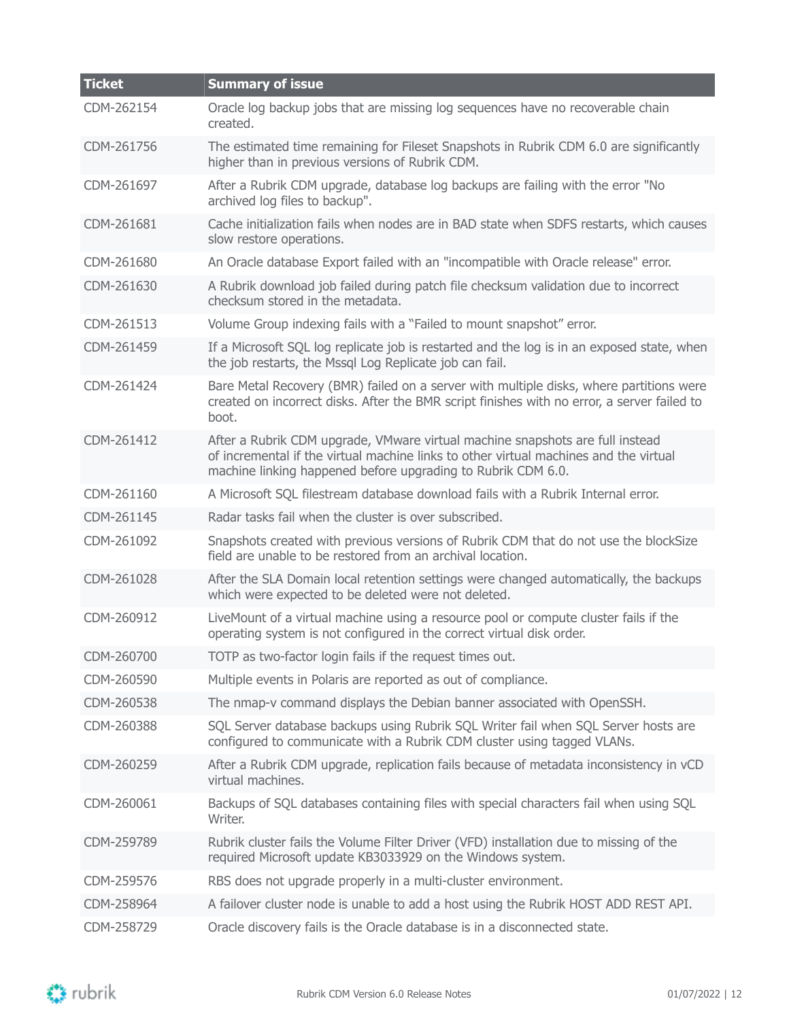| <b>Ticket</b> | <b>Summary of issue</b>                                                                                                                                                                                                                |
|---------------|----------------------------------------------------------------------------------------------------------------------------------------------------------------------------------------------------------------------------------------|
| CDM-262154    | Oracle log backup jobs that are missing log sequences have no recoverable chain<br>created.                                                                                                                                            |
| CDM-261756    | The estimated time remaining for Fileset Snapshots in Rubrik CDM 6.0 are significantly<br>higher than in previous versions of Rubrik CDM.                                                                                              |
| CDM-261697    | After a Rubrik CDM upgrade, database log backups are failing with the error "No<br>archived log files to backup".                                                                                                                      |
| CDM-261681    | Cache initialization fails when nodes are in BAD state when SDFS restarts, which causes<br>slow restore operations.                                                                                                                    |
| CDM-261680    | An Oracle database Export failed with an "incompatible with Oracle release" error.                                                                                                                                                     |
| CDM-261630    | A Rubrik download job failed during patch file checksum validation due to incorrect<br>checksum stored in the metadata.                                                                                                                |
| CDM-261513    | Volume Group indexing fails with a "Failed to mount snapshot" error.                                                                                                                                                                   |
| CDM-261459    | If a Microsoft SQL log replicate job is restarted and the log is in an exposed state, when<br>the job restarts, the Mssgl Log Replicate job can fail.                                                                                  |
| CDM-261424    | Bare Metal Recovery (BMR) failed on a server with multiple disks, where partitions were<br>created on incorrect disks. After the BMR script finishes with no error, a server failed to<br>boot.                                        |
| CDM-261412    | After a Rubrik CDM upgrade, VMware virtual machine snapshots are full instead<br>of incremental if the virtual machine links to other virtual machines and the virtual<br>machine linking happened before upgrading to Rubrik CDM 6.0. |
| CDM-261160    | A Microsoft SQL filestream database download fails with a Rubrik Internal error.                                                                                                                                                       |
| CDM-261145    | Radar tasks fail when the cluster is over subscribed.                                                                                                                                                                                  |
| CDM-261092    | Snapshots created with previous versions of Rubrik CDM that do not use the blockSize<br>field are unable to be restored from an archival location.                                                                                     |
| CDM-261028    | After the SLA Domain local retention settings were changed automatically, the backups<br>which were expected to be deleted were not deleted.                                                                                           |
| CDM-260912    | LiveMount of a virtual machine using a resource pool or compute cluster fails if the<br>operating system is not configured in the correct virtual disk order.                                                                          |
| CDM-260700    | TOTP as two-factor login fails if the request times out.                                                                                                                                                                               |
| CDM-260590    | Multiple events in Polaris are reported as out of compliance.                                                                                                                                                                          |
| CDM-260538    | The nmap-v command displays the Debian banner associated with OpenSSH.                                                                                                                                                                 |
| CDM-260388    | SQL Server database backups using Rubrik SQL Writer fail when SQL Server hosts are<br>configured to communicate with a Rubrik CDM cluster using tagged VLANs.                                                                          |
| CDM-260259    | After a Rubrik CDM upgrade, replication fails because of metadata inconsistency in vCD<br>virtual machines.                                                                                                                            |
| CDM-260061    | Backups of SQL databases containing files with special characters fail when using SQL<br>Writer.                                                                                                                                       |
| CDM-259789    | Rubrik cluster fails the Volume Filter Driver (VFD) installation due to missing of the<br>required Microsoft update KB3033929 on the Windows system.                                                                                   |
| CDM-259576    | RBS does not upgrade properly in a multi-cluster environment.                                                                                                                                                                          |
| CDM-258964    | A failover cluster node is unable to add a host using the Rubrik HOST ADD REST API.                                                                                                                                                    |
| CDM-258729    | Oracle discovery fails is the Oracle database is in a disconnected state.                                                                                                                                                              |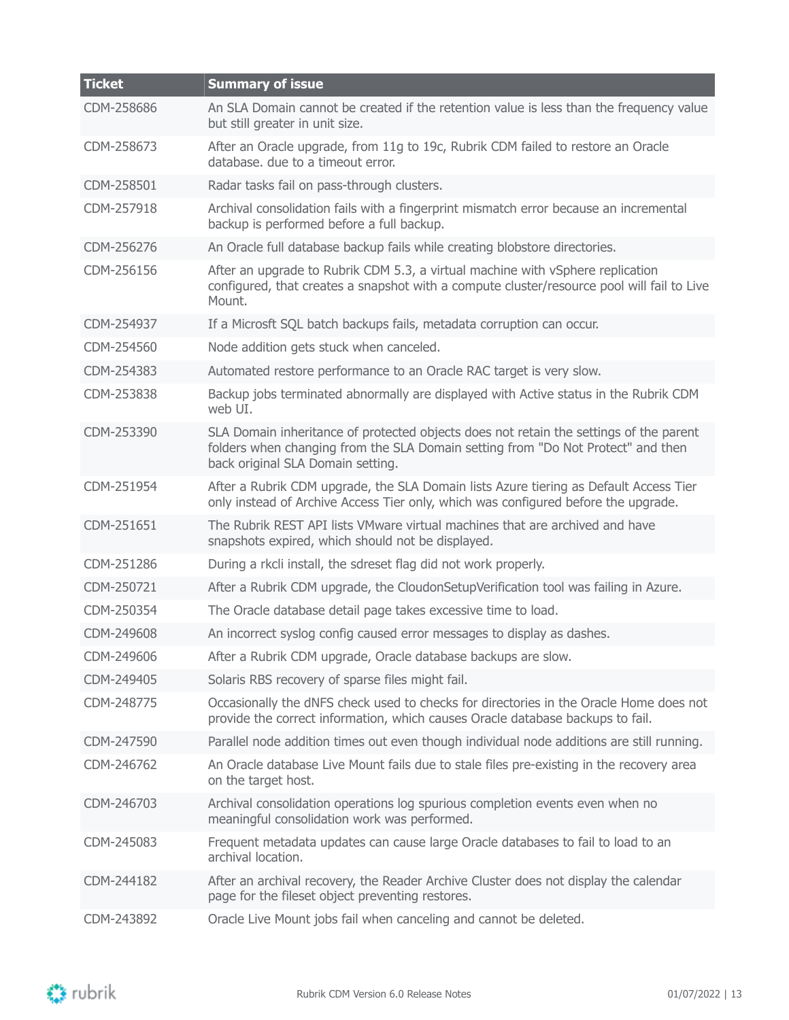| <b>Ticket</b> | <b>Summary of issue</b>                                                                                                                                                                                         |
|---------------|-----------------------------------------------------------------------------------------------------------------------------------------------------------------------------------------------------------------|
| CDM-258686    | An SLA Domain cannot be created if the retention value is less than the frequency value<br>but still greater in unit size.                                                                                      |
| CDM-258673    | After an Oracle upgrade, from 11g to 19c, Rubrik CDM failed to restore an Oracle<br>database. due to a timeout error.                                                                                           |
| CDM-258501    | Radar tasks fail on pass-through clusters.                                                                                                                                                                      |
| CDM-257918    | Archival consolidation fails with a fingerprint mismatch error because an incremental<br>backup is performed before a full backup.                                                                              |
| CDM-256276    | An Oracle full database backup fails while creating blobstore directories.                                                                                                                                      |
| CDM-256156    | After an upgrade to Rubrik CDM 5.3, a virtual machine with vSphere replication<br>configured, that creates a snapshot with a compute cluster/resource pool will fail to Live<br>Mount.                          |
| CDM-254937    | If a Microsft SQL batch backups fails, metadata corruption can occur.                                                                                                                                           |
| CDM-254560    | Node addition gets stuck when canceled.                                                                                                                                                                         |
| CDM-254383    | Automated restore performance to an Oracle RAC target is very slow.                                                                                                                                             |
| CDM-253838    | Backup jobs terminated abnormally are displayed with Active status in the Rubrik CDM<br>web UI.                                                                                                                 |
| CDM-253390    | SLA Domain inheritance of protected objects does not retain the settings of the parent<br>folders when changing from the SLA Domain setting from "Do Not Protect" and then<br>back original SLA Domain setting. |
| CDM-251954    | After a Rubrik CDM upgrade, the SLA Domain lists Azure tiering as Default Access Tier<br>only instead of Archive Access Tier only, which was configured before the upgrade.                                     |
| CDM-251651    | The Rubrik REST API lists VMware virtual machines that are archived and have<br>snapshots expired, which should not be displayed.                                                                               |
| CDM-251286    | During a rkcli install, the sdreset flag did not work properly.                                                                                                                                                 |
| CDM-250721    | After a Rubrik CDM upgrade, the CloudonSetupVerification tool was failing in Azure.                                                                                                                             |
| CDM-250354    | The Oracle database detail page takes excessive time to load.                                                                                                                                                   |
| CDM-249608    | An incorrect syslog config caused error messages to display as dashes.                                                                                                                                          |
| CDM-249606    | After a Rubrik CDM upgrade, Oracle database backups are slow.                                                                                                                                                   |
| CDM-249405    | Solaris RBS recovery of sparse files might fail.                                                                                                                                                                |
| CDM-248775    | Occasionally the dNFS check used to checks for directories in the Oracle Home does not<br>provide the correct information, which causes Oracle database backups to fail.                                        |
| CDM-247590    | Parallel node addition times out even though individual node additions are still running.                                                                                                                       |
| CDM-246762    | An Oracle database Live Mount fails due to stale files pre-existing in the recovery area<br>on the target host.                                                                                                 |
| CDM-246703    | Archival consolidation operations log spurious completion events even when no<br>meaningful consolidation work was performed.                                                                                   |
| CDM-245083    | Frequent metadata updates can cause large Oracle databases to fail to load to an<br>archival location.                                                                                                          |
| CDM-244182    | After an archival recovery, the Reader Archive Cluster does not display the calendar<br>page for the fileset object preventing restores.                                                                        |
| CDM-243892    | Oracle Live Mount jobs fail when canceling and cannot be deleted.                                                                                                                                               |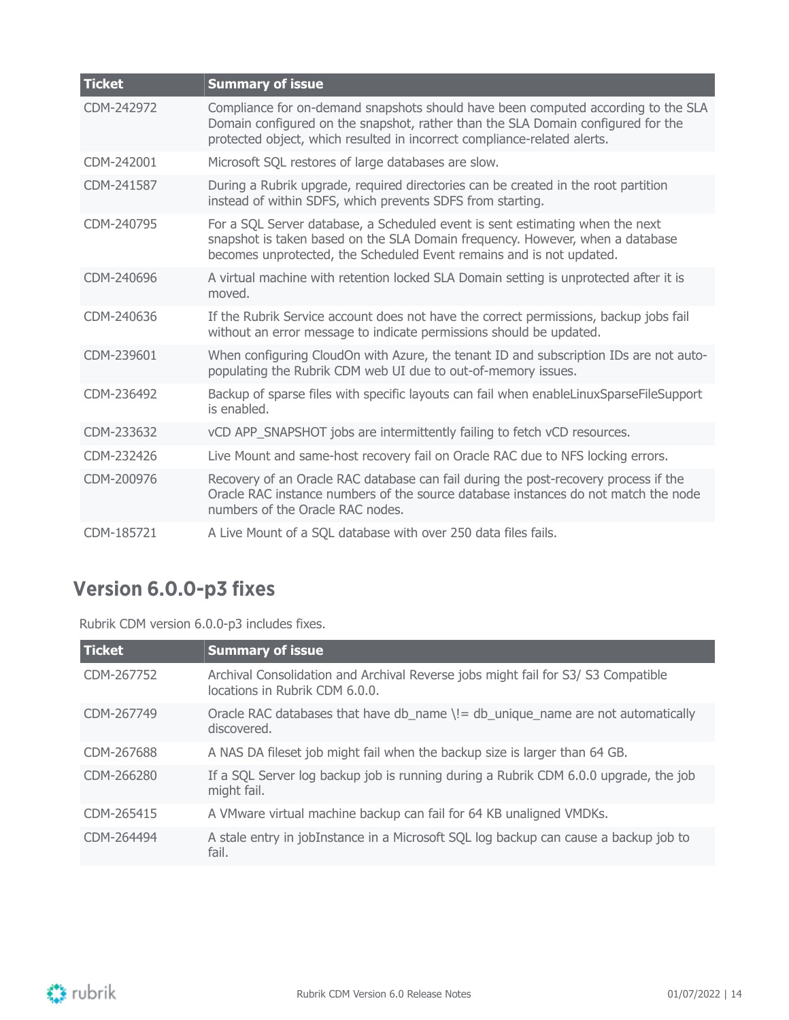| <b>Ticket</b> | <b>Summary of issue</b>                                                                                                                                                                                                                           |
|---------------|---------------------------------------------------------------------------------------------------------------------------------------------------------------------------------------------------------------------------------------------------|
| CDM-242972    | Compliance for on-demand snapshots should have been computed according to the SLA<br>Domain configured on the snapshot, rather than the SLA Domain configured for the<br>protected object, which resulted in incorrect compliance-related alerts. |
| CDM-242001    | Microsoft SQL restores of large databases are slow.                                                                                                                                                                                               |
| CDM-241587    | During a Rubrik upgrade, required directories can be created in the root partition<br>instead of within SDFS, which prevents SDFS from starting.                                                                                                  |
| CDM-240795    | For a SQL Server database, a Scheduled event is sent estimating when the next<br>snapshot is taken based on the SLA Domain frequency. However, when a database<br>becomes unprotected, the Scheduled Event remains and is not updated.            |
| CDM-240696    | A virtual machine with retention locked SLA Domain setting is unprotected after it is<br>moved.                                                                                                                                                   |
| CDM-240636    | If the Rubrik Service account does not have the correct permissions, backup jobs fail<br>without an error message to indicate permissions should be updated.                                                                                      |
| CDM-239601    | When configuring CloudOn with Azure, the tenant ID and subscription IDs are not auto-<br>populating the Rubrik CDM web UI due to out-of-memory issues.                                                                                            |
| CDM-236492    | Backup of sparse files with specific layouts can fail when enableLinuxSparseFileSupport<br>is enabled.                                                                                                                                            |
| CDM-233632    | vCD APP_SNAPSHOT jobs are intermittently failing to fetch vCD resources.                                                                                                                                                                          |
| CDM-232426    | Live Mount and same-host recovery fail on Oracle RAC due to NFS locking errors.                                                                                                                                                                   |
| CDM-200976    | Recovery of an Oracle RAC database can fail during the post-recovery process if the<br>Oracle RAC instance numbers of the source database instances do not match the node<br>numbers of the Oracle RAC nodes.                                     |
| CDM-185721    | A Live Mount of a SQL database with over 250 data files fails.                                                                                                                                                                                    |

# <span id="page-13-0"></span>**Version 6.0.0-p3 fixes**

Rubrik CDM version 6.0.0-p3 includes fixes.

| <b>Ticket</b> | <b>Summary of issue</b>                                                                                             |
|---------------|---------------------------------------------------------------------------------------------------------------------|
| CDM-267752    | Archival Consolidation and Archival Reverse jobs might fail for S3/ S3 Compatible<br>locations in Rubrik CDM 6.0.0. |
| CDM-267749    | Oracle RAC databases that have db_name $\left( = d \right)$ unique_name are not automatically<br>discovered.        |
| CDM-267688    | A NAS DA fileset job might fail when the backup size is larger than 64 GB.                                          |
| CDM-266280    | If a SQL Server log backup job is running during a Rubrik CDM 6.0.0 upgrade, the job<br>might fail.                 |
| CDM-265415    | A VMware virtual machine backup can fail for 64 KB unaligned VMDKs.                                                 |
| CDM-264494    | A stale entry in jobInstance in a Microsoft SQL log backup can cause a backup job to<br>fail.                       |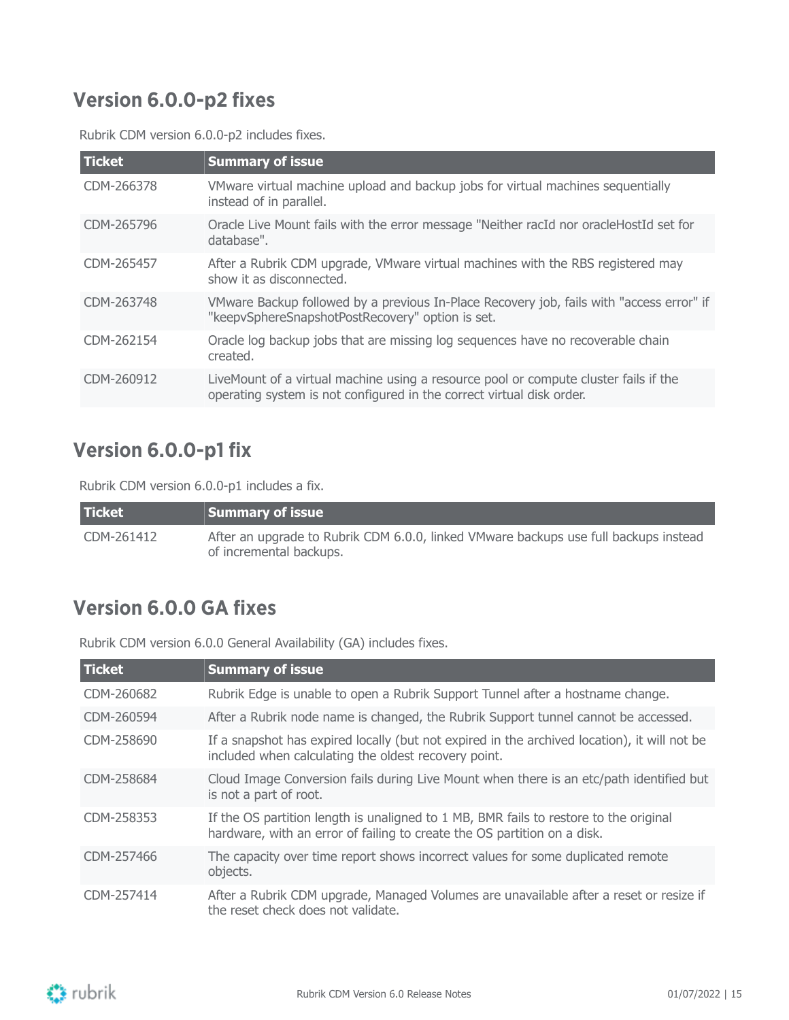### <span id="page-14-0"></span>**Version 6.0.0-p2 fixes**

Rubrik CDM version 6.0.0-p2 includes fixes.

| <b>Ticket</b> | <b>Summary of issue</b>                                                                                                                                       |
|---------------|---------------------------------------------------------------------------------------------------------------------------------------------------------------|
| CDM-266378    | VMware virtual machine upload and backup jobs for virtual machines sequentially<br>instead of in parallel.                                                    |
| CDM-265796    | Oracle Live Mount fails with the error message "Neither racId nor oracleHostId set for<br>database".                                                          |
| CDM-265457    | After a Rubrik CDM upgrade, VMware virtual machines with the RBS registered may<br>show it as disconnected.                                                   |
| CDM-263748    | VMware Backup followed by a previous In-Place Recovery job, fails with "access error" if<br>"keepvSphereSnapshotPostRecovery" option is set.                  |
| CDM-262154    | Oracle log backup jobs that are missing log sequences have no recoverable chain<br>created.                                                                   |
| CDM-260912    | LiveMount of a virtual machine using a resource pool or compute cluster fails if the<br>operating system is not configured in the correct virtual disk order. |

## <span id="page-14-1"></span>**Version 6.0.0-p1 fix**

Rubrik CDM version 6.0.0-p1 includes a fix.

| <b>Ticket</b> | $\,$ Summary of issue $\,$                                                                                      |
|---------------|-----------------------------------------------------------------------------------------------------------------|
| CDM-261412    | After an upgrade to Rubrik CDM 6.0.0, linked VMware backups use full backups instead<br>of incremental backups. |

### <span id="page-14-2"></span>**Version 6.0.0 GA fixes**

Rubrik CDM version 6.0.0 General Availability (GA) includes fixes.

| <b>Ticket</b> | <b>Summary of issue</b>                                                                                                                                           |
|---------------|-------------------------------------------------------------------------------------------------------------------------------------------------------------------|
| CDM-260682    | Rubrik Edge is unable to open a Rubrik Support Tunnel after a hostname change.                                                                                    |
| CDM-260594    | After a Rubrik node name is changed, the Rubrik Support tunnel cannot be accessed.                                                                                |
| CDM-258690    | If a snapshot has expired locally (but not expired in the archived location), it will not be<br>included when calculating the oldest recovery point.              |
| CDM-258684    | Cloud Image Conversion fails during Live Mount when there is an etc/path identified but<br>is not a part of root.                                                 |
| CDM-258353    | If the OS partition length is unaligned to 1 MB, BMR fails to restore to the original<br>hardware, with an error of failing to create the OS partition on a disk. |
| CDM-257466    | The capacity over time report shows incorrect values for some duplicated remote<br>objects.                                                                       |
| CDM-257414    | After a Rubrik CDM upgrade, Managed Volumes are unavailable after a reset or resize if<br>the reset check does not validate.                                      |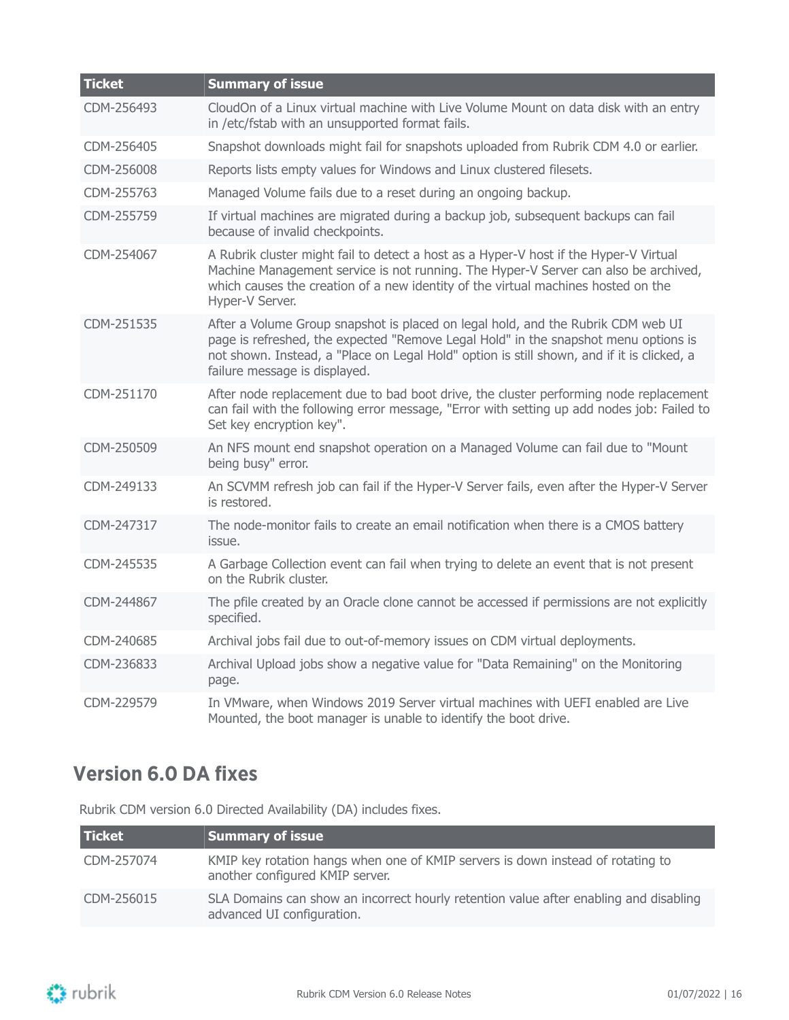| <b>Ticket</b> | <b>Summary of issue</b>                                                                                                                                                                                                                                                                                |
|---------------|--------------------------------------------------------------------------------------------------------------------------------------------------------------------------------------------------------------------------------------------------------------------------------------------------------|
| CDM-256493    | CloudOn of a Linux virtual machine with Live Volume Mount on data disk with an entry<br>in /etc/fstab with an unsupported format fails.                                                                                                                                                                |
| CDM-256405    | Snapshot downloads might fail for snapshots uploaded from Rubrik CDM 4.0 or earlier.                                                                                                                                                                                                                   |
| CDM-256008    | Reports lists empty values for Windows and Linux clustered filesets.                                                                                                                                                                                                                                   |
| CDM-255763    | Managed Volume fails due to a reset during an ongoing backup.                                                                                                                                                                                                                                          |
| CDM-255759    | If virtual machines are migrated during a backup job, subsequent backups can fail<br>because of invalid checkpoints.                                                                                                                                                                                   |
| CDM-254067    | A Rubrik cluster might fail to detect a host as a Hyper-V host if the Hyper-V Virtual<br>Machine Management service is not running. The Hyper-V Server can also be archived,<br>which causes the creation of a new identity of the virtual machines hosted on the<br>Hyper-V Server.                   |
| CDM-251535    | After a Volume Group snapshot is placed on legal hold, and the Rubrik CDM web UI<br>page is refreshed, the expected "Remove Legal Hold" in the snapshot menu options is<br>not shown. Instead, a "Place on Legal Hold" option is still shown, and if it is clicked, a<br>failure message is displayed. |
| CDM-251170    | After node replacement due to bad boot drive, the cluster performing node replacement<br>can fail with the following error message, "Error with setting up add nodes job: Failed to<br>Set key encryption key".                                                                                        |
| CDM-250509    | An NFS mount end snapshot operation on a Managed Volume can fail due to "Mount<br>being busy" error.                                                                                                                                                                                                   |
| CDM-249133    | An SCVMM refresh job can fail if the Hyper-V Server fails, even after the Hyper-V Server<br>is restored.                                                                                                                                                                                               |
| CDM-247317    | The node-monitor fails to create an email notification when there is a CMOS battery<br>issue.                                                                                                                                                                                                          |
| CDM-245535    | A Garbage Collection event can fail when trying to delete an event that is not present<br>on the Rubrik cluster.                                                                                                                                                                                       |
| CDM-244867    | The pfile created by an Oracle clone cannot be accessed if permissions are not explicitly<br>specified.                                                                                                                                                                                                |
| CDM-240685    | Archival jobs fail due to out-of-memory issues on CDM virtual deployments.                                                                                                                                                                                                                             |
| CDM-236833    | Archival Upload jobs show a negative value for "Data Remaining" on the Monitoring<br>page.                                                                                                                                                                                                             |
| CDM-229579    | In VMware, when Windows 2019 Server virtual machines with UEFI enabled are Live<br>Mounted, the boot manager is unable to identify the boot drive.                                                                                                                                                     |

## <span id="page-15-0"></span>**Version 6.0 DA fixes**

Rubrik CDM version 6.0 Directed Availability (DA) includes fixes.

| <b>Ticket</b> | Summary of issue                                                                                                    |
|---------------|---------------------------------------------------------------------------------------------------------------------|
| CDM-257074    | KMIP key rotation hangs when one of KMIP servers is down instead of rotating to<br>another configured KMIP server.  |
| CDM-256015    | SLA Domains can show an incorrect hourly retention value after enabling and disabling<br>advanced UI configuration. |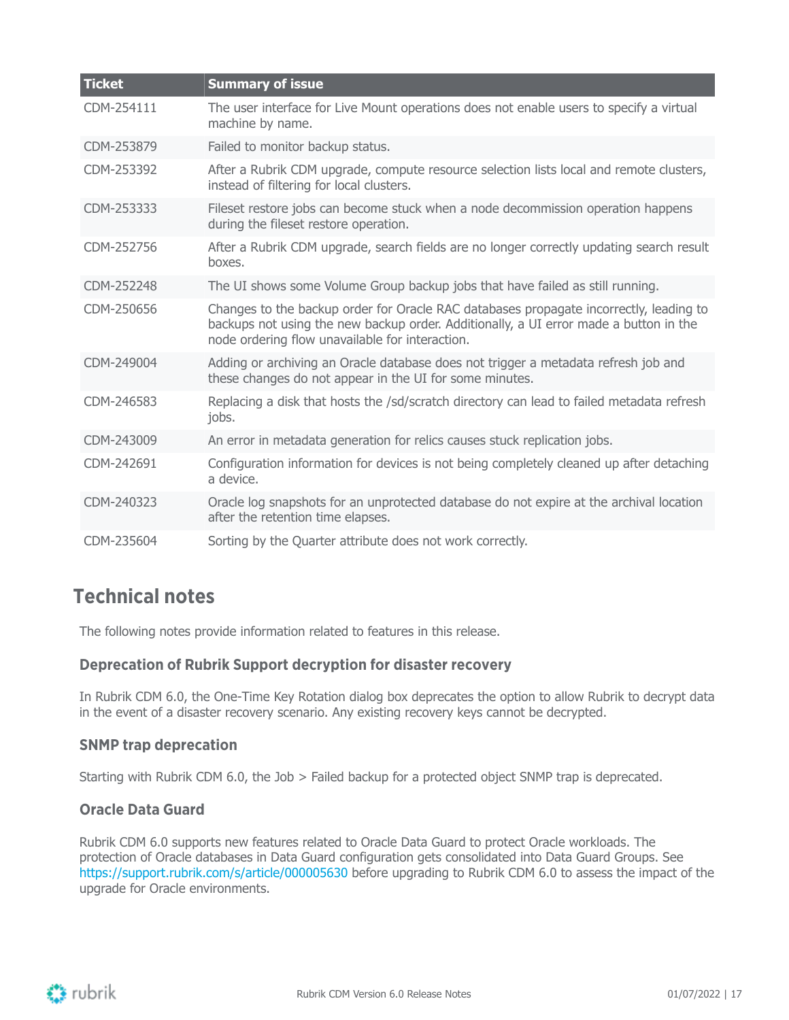| <b>Ticket</b> | <b>Summary of issue</b>                                                                                                                                                                                                            |
|---------------|------------------------------------------------------------------------------------------------------------------------------------------------------------------------------------------------------------------------------------|
| CDM-254111    | The user interface for Live Mount operations does not enable users to specify a virtual<br>machine by name.                                                                                                                        |
| CDM-253879    | Failed to monitor backup status.                                                                                                                                                                                                   |
| CDM-253392    | After a Rubrik CDM upgrade, compute resource selection lists local and remote clusters,<br>instead of filtering for local clusters.                                                                                                |
| CDM-253333    | Fileset restore jobs can become stuck when a node decommission operation happens<br>during the fileset restore operation.                                                                                                          |
| CDM-252756    | After a Rubrik CDM upgrade, search fields are no longer correctly updating search result<br>hoxes.                                                                                                                                 |
| CDM-252248    | The UI shows some Volume Group backup jobs that have failed as still running.                                                                                                                                                      |
| CDM-250656    | Changes to the backup order for Oracle RAC databases propagate incorrectly, leading to<br>backups not using the new backup order. Additionally, a UI error made a button in the<br>node ordering flow unavailable for interaction. |
| CDM-249004    | Adding or archiving an Oracle database does not trigger a metadata refresh job and<br>these changes do not appear in the UI for some minutes.                                                                                      |
| CDM-246583    | Replacing a disk that hosts the /sd/scratch directory can lead to failed metadata refresh<br>jobs.                                                                                                                                 |
| CDM-243009    | An error in metadata generation for relics causes stuck replication jobs.                                                                                                                                                          |
| CDM-242691    | Configuration information for devices is not being completely cleaned up after detaching<br>a device.                                                                                                                              |
| CDM-240323    | Oracle log snapshots for an unprotected database do not expire at the archival location<br>after the retention time elapses.                                                                                                       |
| CDM-235604    | Sorting by the Quarter attribute does not work correctly.                                                                                                                                                                          |

### <span id="page-16-0"></span>**Technical notes**

The following notes provide information related to features in this release.

#### **Deprecation of Rubrik Support decryption for disaster recovery**

In Rubrik CDM 6.0, the One-Time Key Rotation dialog box deprecates the option to allow Rubrik to decrypt data in the event of a disaster recovery scenario. Any existing recovery keys cannot be decrypted.

#### **SNMP trap deprecation**

Starting with Rubrik CDM 6.0, the Job > Failed backup for a protected object SNMP trap is deprecated.

#### **Oracle Data Guard**

Rubrik CDM 6.0 supports new features related to Oracle Data Guard to protect Oracle workloads. The protection of Oracle databases in Data Guard configuration gets consolidated into Data Guard Groups. See <https://support.rubrik.com/s/article/000005630> before upgrading to Rubrik CDM 6.0 to assess the impact of the upgrade for Oracle environments.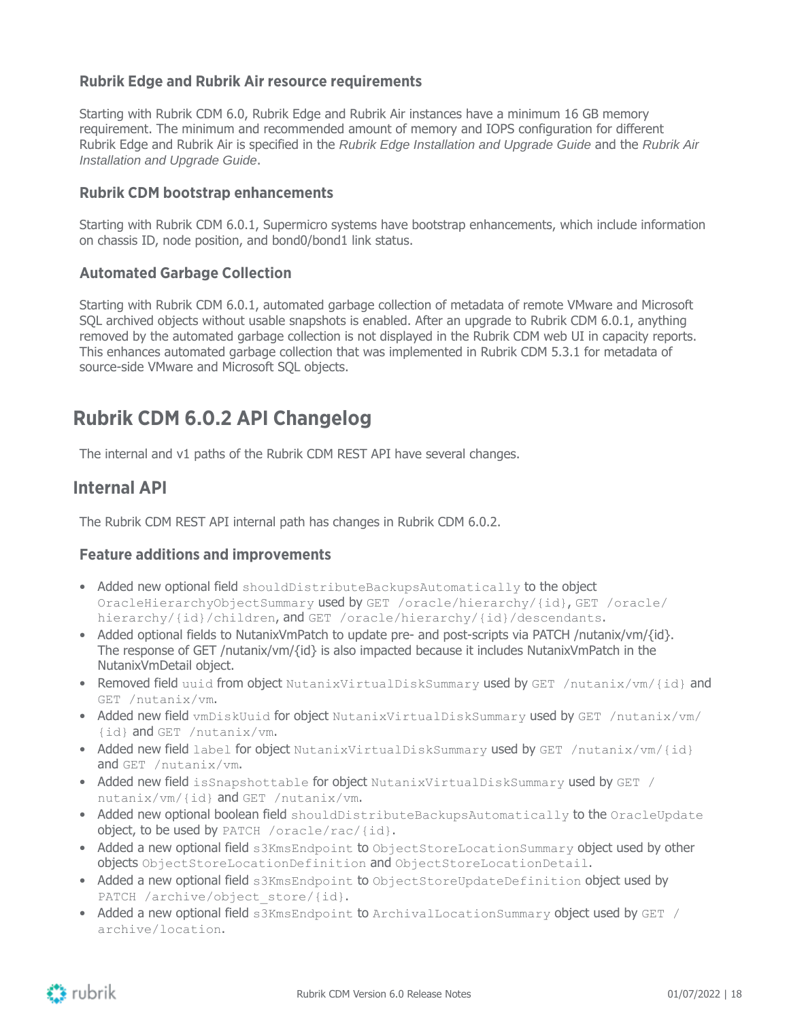#### **Rubrik Edge and Rubrik Air resource requirements**

Starting with Rubrik CDM 6.0, Rubrik Edge and Rubrik Air instances have a minimum 16 GB memory requirement. The minimum and recommended amount of memory and IOPS configuration for different Rubrik Edge and Rubrik Air is specified in the Rubrik Edge Installation and Upgrade Guide and the Rubrik Air Installation and Upgrade Guide.

#### **Rubrik CDM bootstrap enhancements**

Starting with Rubrik CDM 6.0.1, Supermicro systems have bootstrap enhancements, which include information on chassis ID, node position, and bond0/bond1 link status.

#### **Automated Garbage Collection**

Starting with Rubrik CDM 6.0.1, automated garbage collection of metadata of remote VMware and Microsoft SQL archived objects without usable snapshots is enabled. After an upgrade to Rubrik CDM 6.0.1, anything removed by the automated garbage collection is not displayed in the Rubrik CDM web UI in capacity reports. This enhances automated garbage collection that was implemented in Rubrik CDM 5.3.1 for metadata of source-side VMware and Microsoft SQL objects.

### <span id="page-17-0"></span>**Rubrik CDM 6.0.2 API Changelog**

The internal and v1 paths of the Rubrik CDM REST API have several changes.

### <span id="page-17-1"></span>**Internal API**

The Rubrik CDM REST API internal path has changes in Rubrik CDM 6.0.2.

#### **Feature additions and improvements**

- Added new optional field shouldDistributeBackupsAutomatically to the object OracleHierarchyObjectSummary used by GET /oracle/hierarchy/{id}, GET /oracle/ hierarchy/{id}/children, and GET /oracle/hierarchy/{id}/descendants.
- Added optional fields to NutanixVmPatch to update pre- and post-scripts via PATCH /nutanix/vm/{id}. The response of GET /nutanix/vm/{id} is also impacted because it includes NutanixVmPatch in the NutanixVmDetail object.
- Removed field uuid from object NutanixVirtualDiskSummary used by GET /nutanix/vm/{id} and GET /nutanix/vm.
- Added new field vmDiskUuid for object NutanixVirtualDiskSummary used by GET /nutanix/vm/ {id} and GET /nutanix/vm.
- Added new field label for object NutanixVirtualDiskSummary used by GET /nutanix/vm/{id} and GET /nutanix/vm.
- Added new field isSnapshottable for object NutanixVirtualDiskSummary used by GET / nutanix/vm/{id} and GET /nutanix/vm.
- Added new optional boolean field shouldDistributeBackupsAutomatically to the OracleUpdate object, to be used by PATCH /oracle/rac/{id}.
- Added a new optional field s3KmsEndpoint to ObjectStoreLocationSummary object used by other objects ObjectStoreLocationDefinition and ObjectStoreLocationDetail.
- Added a new optional field s3KmsEndpoint to ObjectStoreUpdateDefinition object used by PATCH /archive/object store/{id}.
- Added a new optional field s3KmsEndpoint to ArchivalLocationSummary object used by GET / archive/location.

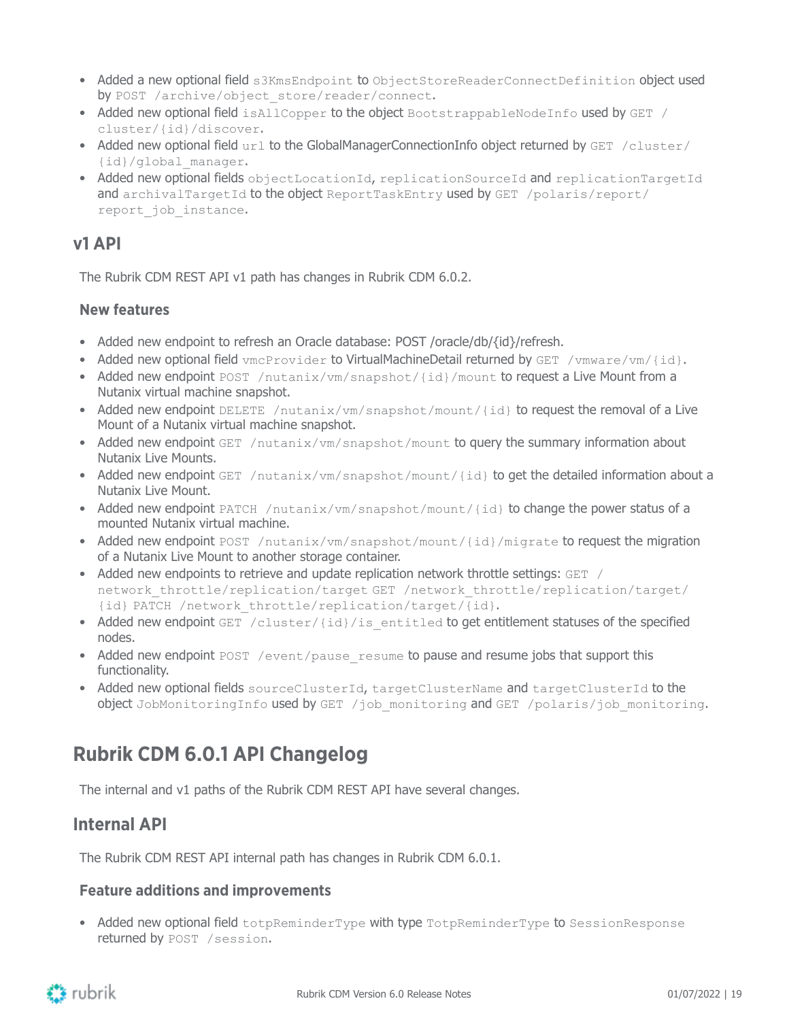- Added a new optional field s3KmsEndpoint to ObjectStoreReaderConnectDefinition object used by POST /archive/object store/reader/connect.
- Added new optional field isAllCopper to the object BootstrappableNodeInfo used by GET / cluster/{id}/discover.
- Added new optional field url to the GlobalManagerConnectionInfo object returned by GET /cluster/ {id}/global\_manager.
- Added new optional fields objectLocationId, replicationSourceId and replicationTargetId and archivalTargetId to the object ReportTaskEntry used by GET /polaris/report/ report\_job\_instance.

### <span id="page-18-0"></span>**v1 API**

The Rubrik CDM REST API v1 path has changes in Rubrik CDM 6.0.2.

#### **New features**

- Added new endpoint to refresh an Oracle database: POST /oracle/db/{id}/refresh.
- Added new optional field  $vmcProvider$  to VirtualMachineDetail returned by GET / $vmare/cm/fd$  }.
- Added new endpoint POST /nutanix/vm/snapshot/{id}/mount to request a Live Mount from a Nutanix virtual machine snapshot.
- Added new endpoint DELETE /nutanix/vm/snapshot/mount/{id} to request the removal of a Live Mount of a Nutanix virtual machine snapshot.
- Added new endpoint  $GET /nutani x /vm /snapshot /mouth to query the summary information about$ Nutanix Live Mounts.
- Added new endpoint GET /nutanix/vm/snapshot/mount/{id} to get the detailed information about a Nutanix Live Mount.
- Added new endpoint PATCH /nutanix/vm/snapshot/mount/{id} to change the power status of a mounted Nutanix virtual machine.
- Added new endpoint POST /nutanix/vm/snapshot/mount/{id}/migrate to request the migration of a Nutanix Live Mount to another storage container.
- Added new endpoints to retrieve and update replication network throttle settings: GET / network throttle/replication/target GET /network throttle/replication/target/ {id} PATCH /network\_throttle/replication/target/{id}.
- Added new endpoint GET /cluster/{id}/is entitled to get entitlement statuses of the specified nodes.
- Added new endpoint POST /event/pause\_resume to pause and resume jobs that support this functionality.
- Added new optional fields sourceClusterId, targetClusterName and targetClusterId to the object JobMonitoringInfo used by GET /job monitoring and GET /polaris/job monitoring.

### <span id="page-18-1"></span>**Rubrik CDM 6.0.1 API Changelog**

The internal and v1 paths of the Rubrik CDM REST API have several changes.

### <span id="page-18-2"></span>**Internal API**

The Rubrik CDM REST API internal path has changes in Rubrik CDM 6.0.1.

#### **Feature additions and improvements**

• Added new optional field totpReminderType with type TotpReminderType to SessionResponse returned by POST /session.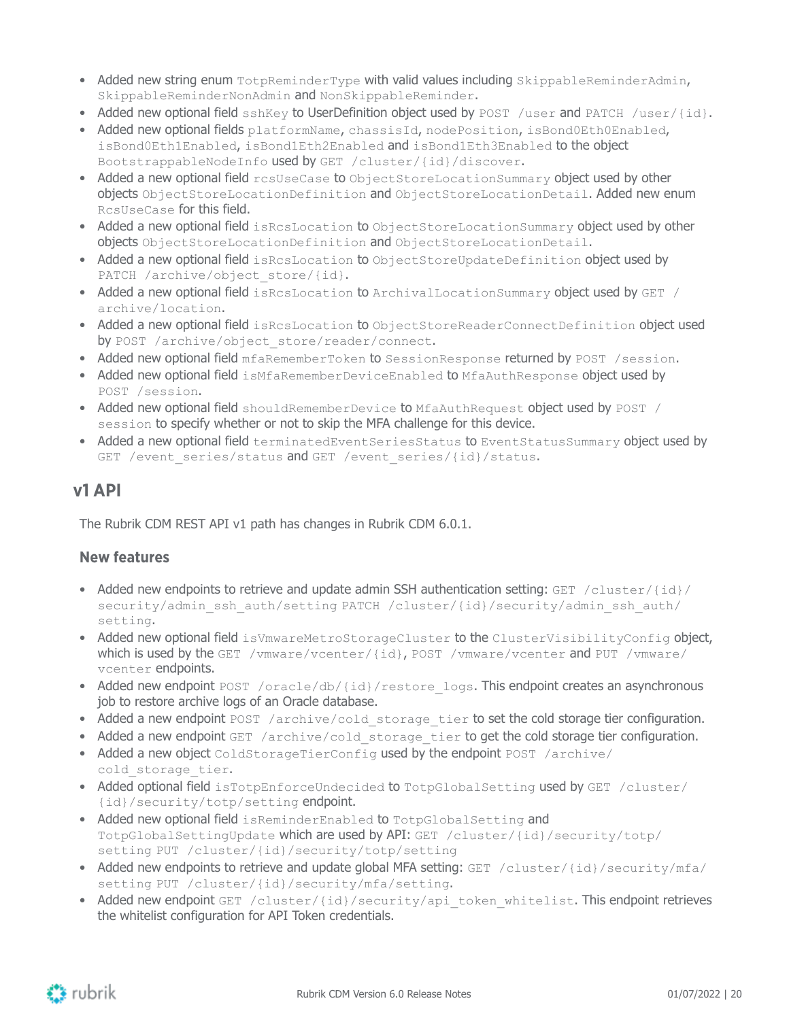- Added new string enum TotpReminderType with valid values including SkippableReminderAdmin, SkippableReminderNonAdmin and NonSkippableReminder.
- Added new optional field sshKey to UserDefinition object used by POST /user and PATCH /user/{id}.
- Added new optional fields platformName, chassisId, nodePosition, isBond0Eth0Enabled, isBond0Eth1Enabled, isBond1Eth2Enabled and isBond1Eth3Enabled to the object BootstrappableNodeInfo used by GET /cluster/{id}/discover.
- Added a new optional field resuseCase to ObjectStoreLocationSummary object used by other objects ObjectStoreLocationDefinition and ObjectStoreLocationDetail. Added new enum RcsUseCase for this field.
- Added a new optional field isRcsLocation to ObjectStoreLocationSummary object used by other objects ObjectStoreLocationDefinition and ObjectStoreLocationDetail.
- Added a new optional field isRcsLocation to ObjectStoreUpdateDefinition object used by PATCH /archive/object store/{id}.
- Added a new optional field isRcsLocation to ArchivalLocationSummary object used by GET / archive/location.
- Added a new optional field isRcsLocation to ObjectStoreReaderConnectDefinition object used by POST /archive/object store/reader/connect.
- Added new optional field mfaRememberToken to SessionResponse returned by POST / session.
- Added new optional field isMfaRememberDeviceEnabled to MfaAuthResponse object used by POST /session.
- Added new optional field shouldRememberDevice to MfaAuthRequest object used by POST / session to specify whether or not to skip the MFA challenge for this device.
- Added a new optional field terminatedEventSeriesStatus to EventStatusSummary object used by GET /event series/status and GET /event series/{id}/status.

### <span id="page-19-0"></span>**v1 API**

The Rubrik CDM REST API v1 path has changes in Rubrik CDM 6.0.1.

#### **New features**

- Added new endpoints to retrieve and update admin SSH authentication setting: GET /cluster/ $\{id\}$ / security/admin\_ssh\_auth/setting PATCH /cluster/{id}/security/admin\_ssh\_auth/ setting.
- Added new optional field isVmwareMetroStorageCluster to the ClusterVisibilityConfig object, which is used by the GET /vmware/vcenter/{id}, POST /vmware/vcenter and PUT /vmware/ vcenter endpoints.
- Added new endpoint POST /oracle/db/{id}/restore\_logs. This endpoint creates an asynchronous job to restore archive logs of an Oracle database.
- Added a new endpoint POST /archive/cold storage tier to set the cold storage tier configuration.
- Added a new endpoint GET /archive/cold storage tier to get the cold storage tier configuration.
- Added a new object ColdStorageTierConfig used by the endpoint POST /archive/ cold storage tier.
- Added optional field isTotpEnforceUndecided to TotpGlobalSetting used by GET /cluster/ {id}/security/totp/setting endpoint.
- Added new optional field isReminderEnabled to TotpGlobalSetting and TotpGlobalSettingUpdate which are used by API: GET /cluster/{id}/security/totp/ setting PUT /cluster/{id}/security/totp/setting
- Added new endpoints to retrieve and update global MFA setting: GET /cluster/{id}/security/mfa/ setting PUT /cluster/{id}/security/mfa/setting.
- Added new endpoint GET /cluster/{id}/security/api\_token\_whitelist. This endpoint retrieves the whitelist configuration for API Token credentials.

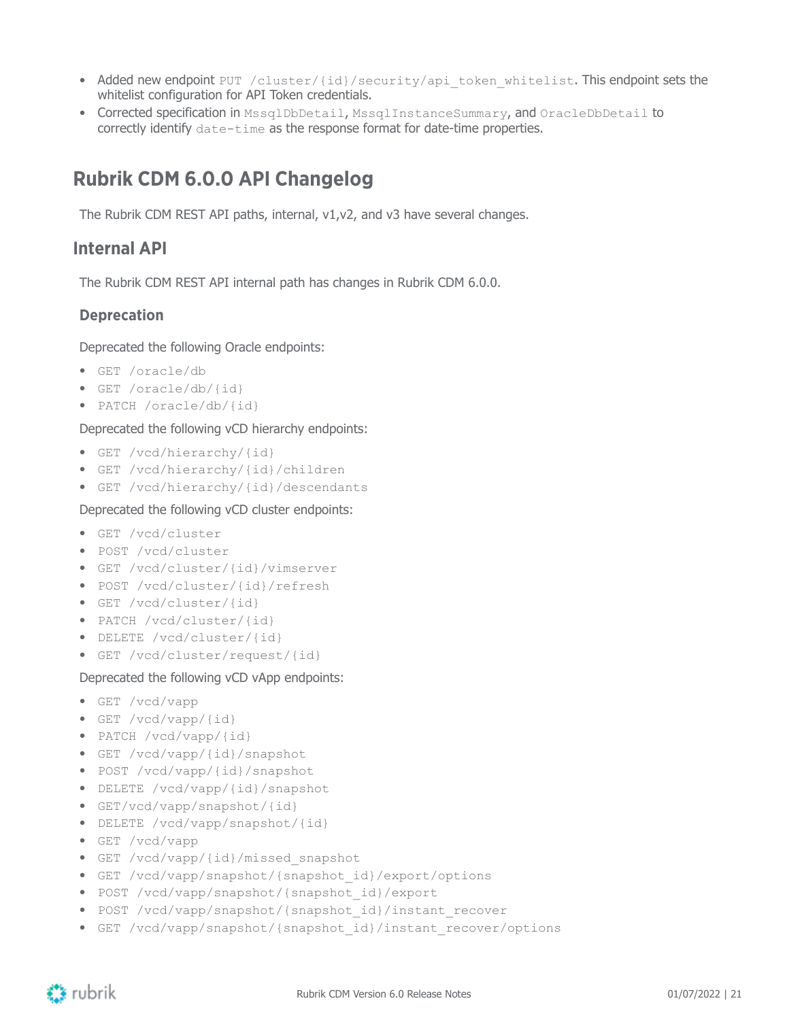- Added new endpoint PUT /cluster/{id}/security/api\_token\_whitelist. This endpoint sets the whitelist configuration for API Token credentials.
- Corrected specification in MssqlDbDetail, MssqlInstanceSummary, and OracleDbDetail to correctly identify date-time as the response format for date-time properties.

## <span id="page-20-0"></span>**Rubrik CDM 6.0.0 API Changelog**

The Rubrik CDM REST API paths, internal, v1,v2, and v3 have several changes.

### <span id="page-20-1"></span>**Internal API**

The Rubrik CDM REST API internal path has changes in Rubrik CDM 6.0.0.

#### **Deprecation**

Deprecated the following Oracle endpoints:

- GET /oracle/db
- GET /oracle/db/{id}
- PATCH /oracle/db/{id}

#### Deprecated the following vCD hierarchy endpoints:

- GET /vcd/hierarchy/{id}
- GET /vcd/hierarchy/{id}/children
- GET /vcd/hierarchy/{id}/descendants

Deprecated the following vCD cluster endpoints:

- GET /vcd/cluster
- POST /vcd/cluster
- GET /vcd/cluster/{id}/vimserver
- POST /vcd/cluster/{id}/refresh
- GET /vcd/cluster/{id}
- PATCH /vcd/cluster/{id}
- DELETE /vcd/cluster/{id}
- GET /vcd/cluster/request/{id}

#### Deprecated the following vCD vApp endpoints:

- GET /vcd/vapp
- GET /vcd/vapp/{id}
- PATCH /vcd/vapp/{id}
- GET /vcd/vapp/{id}/snapshot
- POST /vcd/vapp/{id}/snapshot
- DELETE /vcd/vapp/{id}/snapshot
- GET/vcd/vapp/snapshot/{id}
- DELETE /vcd/vapp/snapshot/{id}
- GET /vcd/vapp
- GET /vcd/vapp/{id}/missed\_snapshot
- GET /vcd/vapp/snapshot/{snapshot\_id}/export/options
- POST /vcd/vapp/snapshot/{snapshot\_id}/export
- POST /vcd/vapp/snapshot/{snapshot id}/instant recover
- GET /vcd/vapp/snapshot/{snapshot\_id}/instant\_recover/options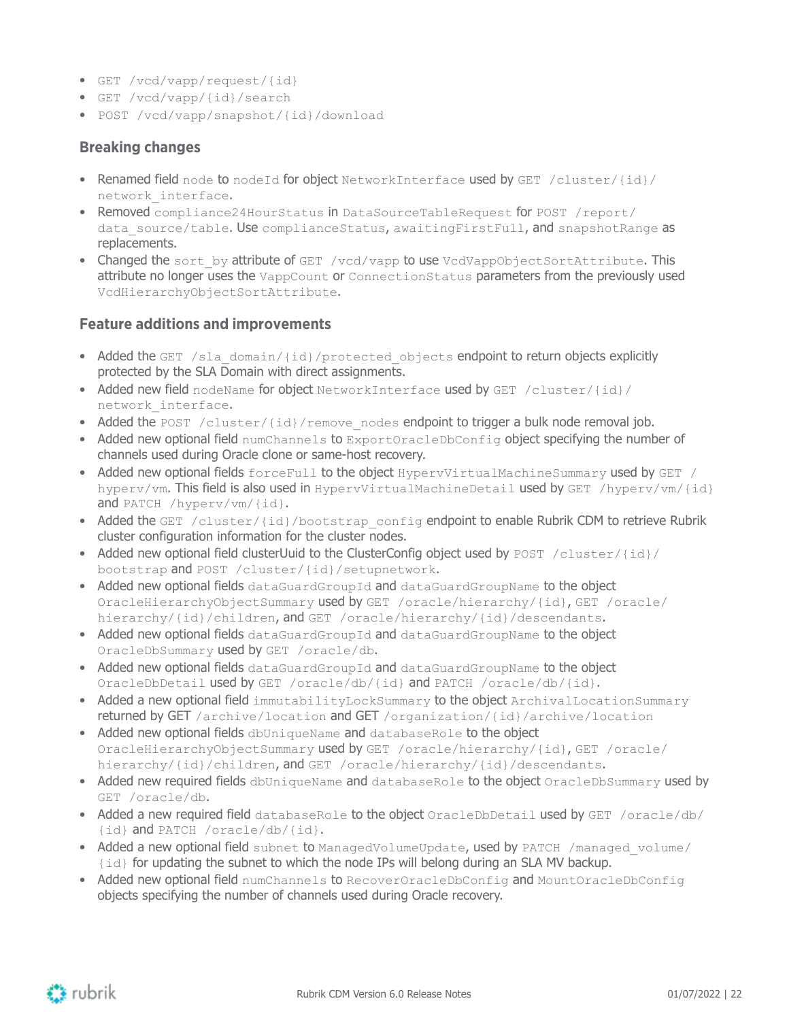- GET /vcd/vapp/request/{id}
- GET /vcd/vapp/{id}/search
- POST /vcd/vapp/snapshot/{id}/download

#### **Breaking changes**

- Renamed field node to nodeId for object NetworkInterface used by GET /cluster/{id}/ network\_interface.
- Removed compliance24HourStatus in DataSourceTableRequest for POST /report/ data source/table. Use complianceStatus, awaitingFirstFull, and snapshotRange as replacements.
- Changed the sort by attribute of GET /vcd/vapp to use VcdVappObjectSortAttribute. This attribute no longer uses the VappCount or ConnectionStatus parameters from the previously used VcdHierarchyObjectSortAttribute.

#### **Feature additions and improvements**

- Added the GET /sla\_domain/{id}/protected\_objects endpoint to return objects explicitly protected by the SLA Domain with direct assignments.
- Added new field nodeName for object NetworkInterface used by GET /cluster/{id}/ network\_interface.
- Added the POST /cluster/{id}/remove nodes endpoint to trigger a bulk node removal job.
- Added new optional field numChannels to ExportOracleDbConfig object specifying the number of channels used during Oracle clone or same-host recovery.
- Added new optional fields forceFull to the object HypervVirtualMachineSummary used by GET / hyperv/vm. This field is also used in HypervVirtualMachineDetail used by GET /hyperv/vm/{id} and PATCH /hyperv/vm/{id}.
- Added the GET /cluster/{id}/bootstrap\_config endpoint to enable Rubrik CDM to retrieve Rubrik cluster configuration information for the cluster nodes.
- Added new optional field clusterUuid to the ClusterConfig object used by POST /cluster/{id}/ bootstrap and POST /cluster/{id}/setupnetwork.
- Added new optional fields dataGuardGroupId and dataGuardGroupName to the object OracleHierarchyObjectSummary used by GET /oracle/hierarchy/{id}, GET /oracle/ hierarchy/{id}/children, and GET /oracle/hierarchy/{id}/descendants.
- Added new optional fields dataGuardGroupId and dataGuardGroupName to the object OracleDbSummary used by GET /oracle/db.
- Added new optional fields dataGuardGroupId and dataGuardGroupName to the object OracleDbDetail used by GET /oracle/db/{id} and PATCH /oracle/db/{id}.
- Added a new optional field immutabilityLockSummary to the object ArchivalLocationSummary returned by GET /archive/location and GET /organization/{id}/archive/location
- Added new optional fields dbUniqueName and databaseRole to the object OracleHierarchyObjectSummary used by GET /oracle/hierarchy/{id}, GET /oracle/ hierarchy/{id}/children, and GET /oracle/hierarchy/{id}/descendants.
- Added new required fields dbUniqueName and databaseRole to the object OracleDbSummary used by GET /oracle/db.
- Added a new required field databaseRole to the object OracleDbDetail used by GET /oracle/db/ {id} and PATCH /oracle/db/{id}.
- Added a new optional field subnet to ManagedVolumeUpdate, used by PATCH /managed volume/ {id} for updating the subnet to which the node IPs will belong during an SLA MV backup.
- Added new optional field numChannels to RecoverOracleDbConfig and MountOracleDbConfig objects specifying the number of channels used during Oracle recovery.

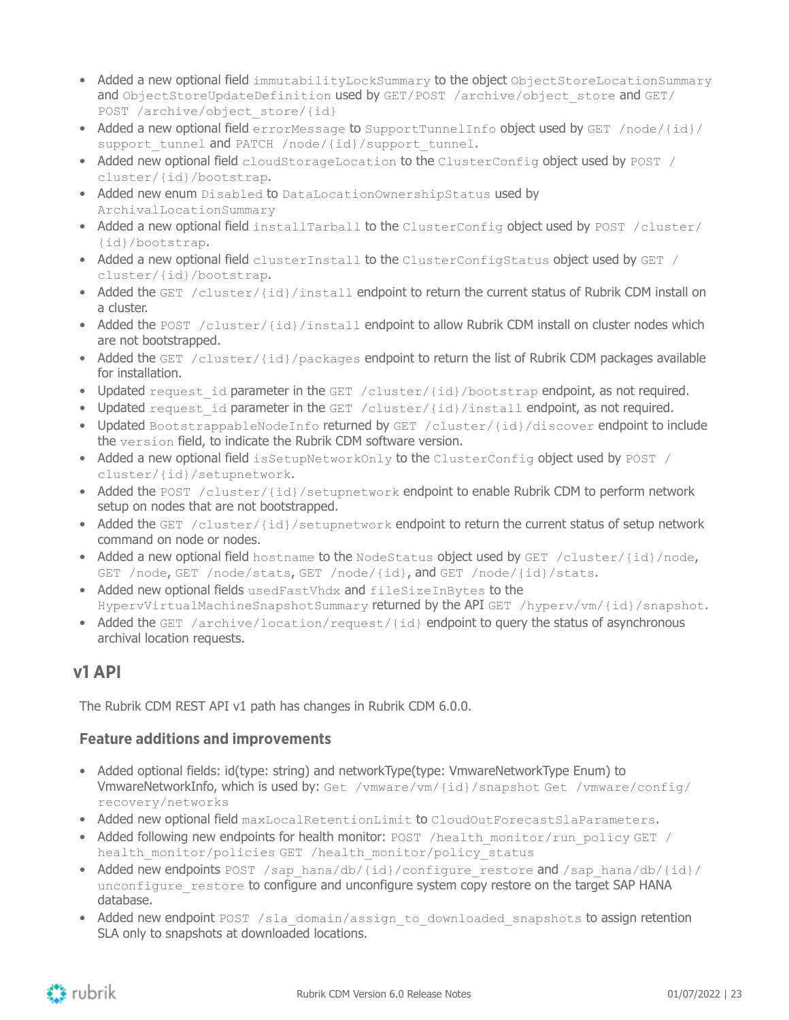- Added a new optional field immutabilityLockSummary to the object ObjectStoreLocationSummary and ObjectStoreUpdateDefinition used by GET/POST /archive/object\_store and GET/ POST /archive/object store/{id}
- Added a new optional field errorMessage to SupportTunnelInfo object used by GET /node/{id}/ support tunnel and PATCH /node/{id}/support tunnel.
- Added new optional field cloudStorageLocation to the ClusterConfig object used by POST / cluster/{id}/bootstrap.
- Added new enum Disabled to DataLocationOwnershipStatus used by ArchivalLocationSummary
- Added a new optional field installTarball to the ClusterConfig object used by POST /cluster/ {id}/bootstrap.
- Added a new optional field clusterInstall to the ClusterConfigStatus object used by GET / cluster/{id}/bootstrap.
- Added the GET /cluster/{id}/install endpoint to return the current status of Rubrik CDM install on a cluster.
- Added the POST /cluster/{id}/install endpoint to allow Rubrik CDM install on cluster nodes which are not bootstrapped.
- Added the GET /cluster/{id}/packages endpoint to return the list of Rubrik CDM packages available for installation.
- Updated request id parameter in the GET /cluster/{id}/bootstrap endpoint, as not required.
- Updated request id parameter in the GET /cluster/{id}/install endpoint, as not required.
- Updated BootstrappableNodeInfo returned by GET /cluster/{id}/discover endpoint to include the version field, to indicate the Rubrik CDM software version.
- Added a new optional field isSetupNetworkOnly to the ClusterConfig object used by POST / cluster/{id}/setupnetwork.
- Added the POST /cluster/{id}/setupnetwork endpoint to enable Rubrik CDM to perform network setup on nodes that are not bootstrapped.
- Added the GET /cluster/{id}/setupnetwork endpoint to return the current status of setup network command on node or nodes.
- Added a new optional field hostname to the NodeStatus object used by GET /cluster/{id}/node, GET /node, GET /node/stats, GET /node/{id}, and GET /node/{id}/stats.
- Added new optional fields usedFastVhdx and fileSizeInBytes to the HypervVirtualMachineSnapshotSummary returned by the API GET /hyperv/vm/{id}/snapshot.
- Added the GET /archive/location/request/{id} endpoint to query the status of asynchronous archival location requests.

### <span id="page-22-0"></span>**v1 API**

The Rubrik CDM REST API v1 path has changes in Rubrik CDM 6.0.0.

#### **Feature additions and improvements**

- Added optional fields: id(type: string) and networkType(type: VmwareNetworkType Enum) to VmwareNetworkInfo, which is used by: Get /vmware/vm/{id}/snapshot Get /vmware/config/ recovery/networks
- Added new optional field maxLocalRetentionLimit to CloudOutForecastSlaParameters.
- Added following new endpoints for health monitor: POST /health\_monitor/run\_policy GET / health\_monitor/policies GET /health\_monitor/policy\_status
- Added new endpoints POST /sap\_hana/db/{id}/configure\_restore and /sap\_hana/db/{id}/ unconfigure restore to configure and unconfigure system copy restore on the target SAP HANA database.
- Added new endpoint POST /sla\_domain/assign\_to\_downloaded\_snapshots to assign retention SLA only to snapshots at downloaded locations.

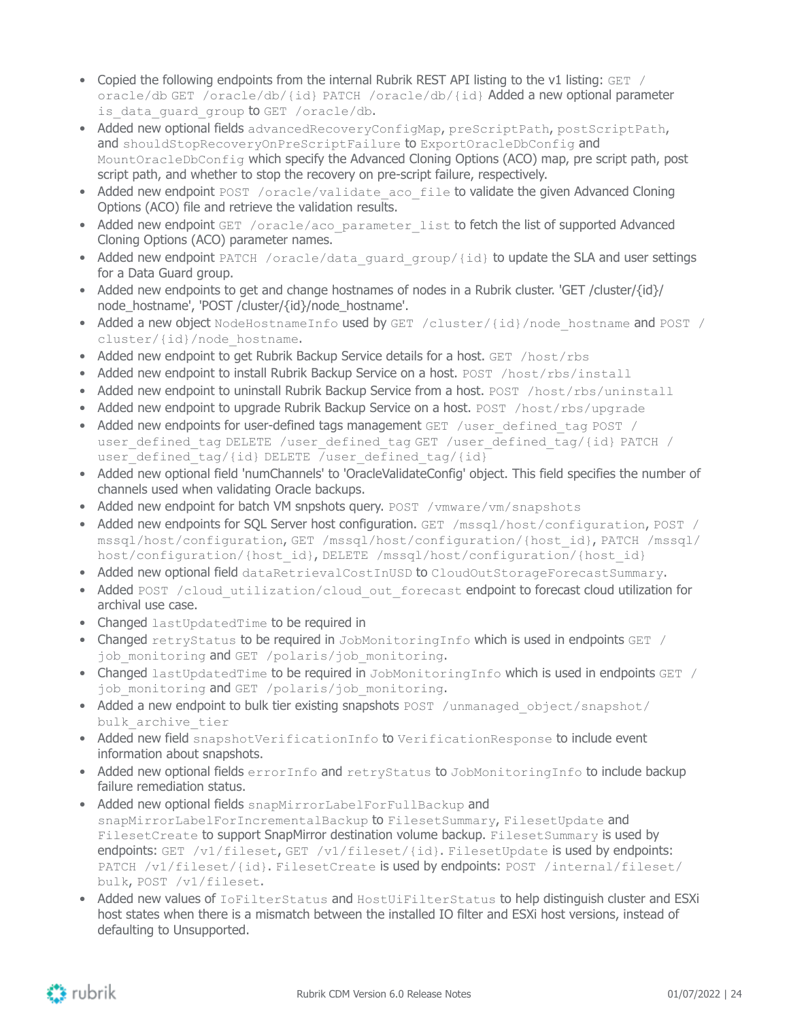- Copied the following endpoints from the internal Rubrik REST API listing to the v1 listing: GET / oracle/db GET /oracle/db/{id} PATCH /oracle/db/{id} Added a new optional parameter is data quard group to GET /oracle/db.
- Added new optional fields advancedRecoveryConfigMap, preScriptPath, postScriptPath, and shouldStopRecoveryOnPreScriptFailure to ExportOracleDbConfig and MountOracleDbConfig which specify the Advanced Cloning Options (ACO) map, pre script path, post script path, and whether to stop the recovery on pre-script failure, respectively.
- Added new endpoint POST /oracle/validate aco file to validate the given Advanced Cloning Options (ACO) file and retrieve the validation results.
- Added new endpoint GET /oracle/aco\_parameter\_list to fetch the list of supported Advanced Cloning Options (ACO) parameter names.
- Added new endpoint PATCH /oracle/data\_guard\_group/{id} to update the SLA and user settings for a Data Guard group.
- Added new endpoints to get and change hostnames of nodes in a Rubrik cluster. 'GET /cluster/{id}/ node\_hostname', 'POST /cluster/{id}/node\_hostname'.
- Added a new object NodeHostnameInfo used by GET /cluster/{id}/node hostname and POST / cluster/{id}/node\_hostname.
- Added new endpoint to get Rubrik Backup Service details for a host.  $GET$  /host/rbs
- Added new endpoint to install Rubrik Backup Service on a host. POST /host/rbs/install
- Added new endpoint to uninstall Rubrik Backup Service from a host. POST /host/rbs/uninstall
- Added new endpoint to upgrade Rubrik Backup Service on a host.  $POST /host/rbs/upgrade$
- Added new endpoints for user-defined tags management GET /user\_defined\_tag POST / user defined tag DELETE /user\_defined\_tag GET /user\_defined\_tag/{id} PATCH / user\_defined\_tag/{id} DELETE /user\_defined\_tag/{id}
- Added new optional field 'numChannels' to 'OracleValidateConfig' object. This field specifies the number of channels used when validating Oracle backups.
- Added new endpoint for batch VM snpshots query. POST /vmware/vm/snapshots
- Added new endpoints for SOL Server host configuration. GET /mssql/host/configuration, POST / mssql/host/configuration, GET /mssql/host/configuration/{host\_id}, PATCH /mssql/ host/configuration/{host\_id}, DELETE /mssql/host/configuration/{host\_id}
- Added new optional field dataRetrievalCostInUSD to CloudOutStorageForecastSummary.
- Added POST /cloud\_utilization/cloud\_out\_forecast endpoint to forecast cloud utilization for archival use case.
- Changed lastUpdatedTime to be required in
- Changed retryStatus to be required in JobMonitoringInfo which is used in endpoints GET / job monitoring and GET /polaris/job monitoring.
- Changed lastUpdatedTime to be required in JobMonitoringInfo which is used in endpoints GET / job monitoring and GET /polaris/job monitoring.
- Added a new endpoint to bulk tier existing snapshots POST /unmanaged object/snapshot/ bulk archive tier
- Added new field snapshotVerificationInfo to VerificationResponse to include event information about snapshots.
- Added new optional fields errorInfo and retryStatus to JobMonitoringInfo to include backup failure remediation status.
- Added new optional fields snapMirrorLabelForFullBackup and snapMirrorLabelForIncrementalBackup to FilesetSummary, FilesetUpdate and FilesetCreate to support SnapMirror destination volume backup. FilesetSummary is used by endpoints: GET /v1/fileset, GET /v1/fileset/{id}. FilesetUpdate is used by endpoints: PATCH /v1/fileset/{id}. FilesetCreate is used by endpoints: POST /internal/fileset/ bulk, POST /v1/fileset.
- Added new values of IoFilterStatus and HostUiFilterStatus to help distinguish cluster and ESXi host states when there is a mismatch between the installed IO filter and ESXi host versions, instead of defaulting to Unsupported.

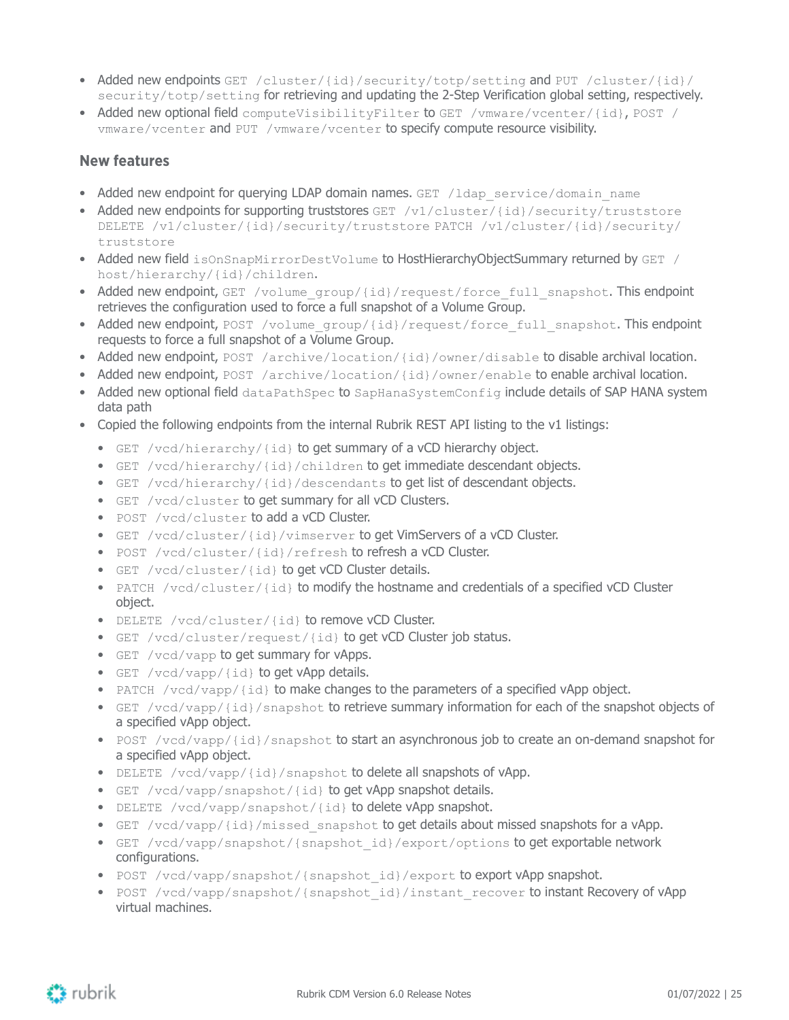- Added new endpoints GET /cluster/{id}/security/totp/setting and PUT /cluster/{id}/ security/totp/setting for retrieving and updating the 2-Step Verification global setting, respectively.
- Added new optional field computeVisibilityFilter to GET /vmware/vcenter/{id}, POST / vmware/vcenter and PUT /vmware/vcenter to specify compute resource visibility.

#### **New features**

- Added new endpoint for querying LDAP domain names. GET /ldap\_service/domain\_name
- Added new endpoints for supporting truststores GET  $/v1$ /cluster/{id}/security/truststore DELETE /v1/cluster/{id}/security/truststore PATCH /v1/cluster/{id}/security/ truststore
- Added new field isOnSnapMirrorDestVolume to HostHierarchyObjectSummary returned by GET / host/hierarchy/{id}/children.
- Added new endpoint, GET /volume\_group/{id}/request/force\_full\_snapshot. This endpoint retrieves the configuration used to force a full snapshot of a Volume Group.
- Added new endpoint, POST /volume\_group/{id}/request/force\_full\_snapshot. This endpoint requests to force a full snapshot of a Volume Group.
- Added new endpoint, POST /archive/location/{id}/owner/disable to disable archival location.
- Added new endpoint, POST /archive/location/{id}/owner/enable to enable archival location.
- Added new optional field dataPathSpec to SapHanaSystemConfig include details of SAP HANA system data path
- Copied the following endpoints from the internal Rubrik REST API listing to the v1 listings:
	- GET /vcd/hierarchy/{id} to get summary of a vCD hierarchy object.
	- GET /vcd/hierarchy/{id}/children to get immediate descendant objects.
	- GET /vcd/hierarchy/{id}/descendants to get list of descendant objects.
	- GET /vcd/cluster to get summary for all vCD Clusters.
	- POST /vcd/cluster to add a vCD Cluster.
	- GET /vcd/cluster/{id}/vimserver to get VimServers of a vCD Cluster.
	- POST /vcd/cluster/{id}/refresh to refresh a vCD Cluster.
	- GET /vcd/cluster/{id} to get vCD Cluster details.
	- PATCH /vcd/cluster/{id} to modify the hostname and credentials of a specified vCD Cluster object.
	- DELETE /vcd/cluster/{id} to remove vCD Cluster.
	- GET /vcd/cluster/request/{id} to get vCD Cluster job status.
	- GET /vcd/vapp to get summary for vApps.
	- GET /vcd/vapp/{id} to get vApp details.
	- PATCH /vcd/vapp/{id} to make changes to the parameters of a specified vApp object.
	- GET /vcd/vapp/{id}/snapshot to retrieve summary information for each of the snapshot objects of a specified vApp object.
	- POST /vcd/vapp/{id}/snapshot to start an asynchronous job to create an on-demand snapshot for a specified vApp object.
	- DELETE /vcd/vapp/{id}/snapshot to delete all snapshots of vApp.
	- GET /vcd/vapp/snapshot/{id} to get vApp snapshot details.
	- DELETE /vcd/vapp/snapshot/{id} to delete vApp snapshot.
	- GET /vcd/vapp/{id}/missed snapshot to get details about missed snapshots for a vApp.
	- GET /vcd/vapp/snapshot/{snapshot\_id}/export/options to get exportable network configurations.
	- POST /vcd/vapp/snapshot/{snapshot id}/export to export vApp snapshot.
	- POST /vcd/vapp/snapshot/{snapshot id}/instant recover to instant Recovery of vApp virtual machines.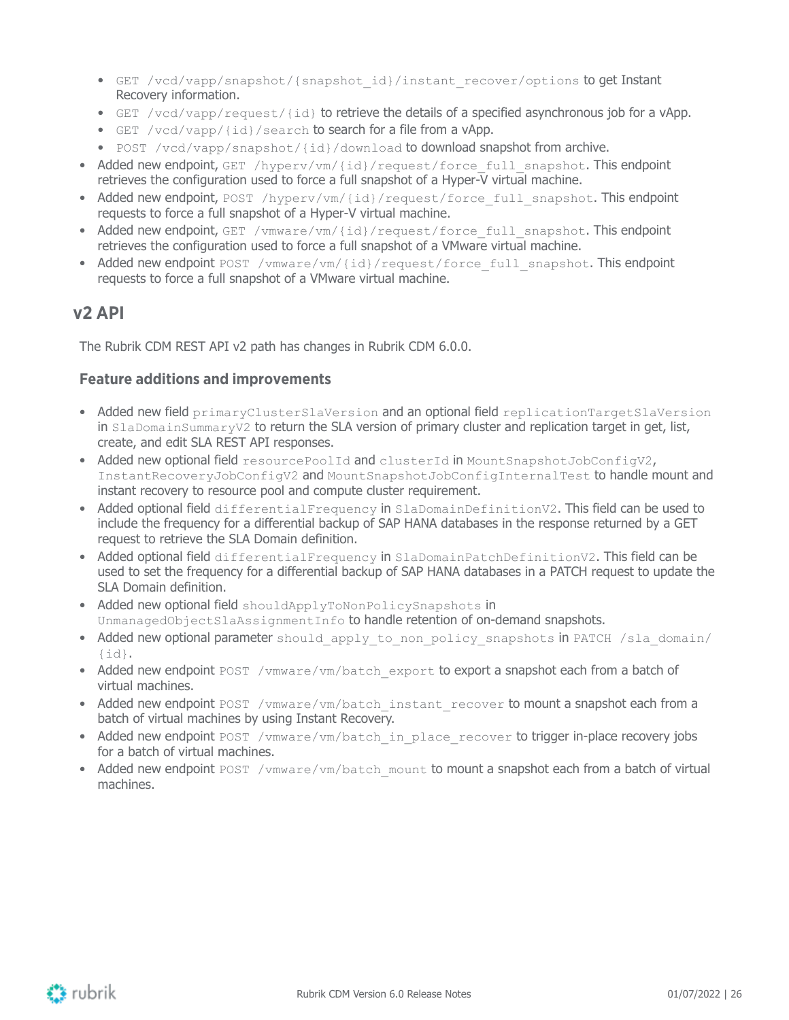- GET /vcd/vapp/snapshot/{snapshot\_id}/instant\_recover/options to get Instant Recovery information.
- GET /vcd/vapp/request/{id} to retrieve the details of a specified asynchronous job for a vApp.
- GET /vcd/vapp/{id}/search to search for a file from a vApp.
- POST /vcd/vapp/snapshot/{id}/download to download snapshot from archive.
- Added new endpoint, GET /hyperv/vm/{id}/request/force\_full\_snapshot. This endpoint retrieves the configuration used to force a full snapshot of a Hyper-V virtual machine.
- Added new endpoint, POST /hyperv/vm/{id}/request/force\_full\_snapshot. This endpoint requests to force a full snapshot of a Hyper-V virtual machine.
- Added new endpoint, GET /vmware/vm/{id}/request/force\_full\_snapshot. This endpoint retrieves the configuration used to force a full snapshot of a VMware virtual machine.
- Added new endpoint POST /vmware/vm/{id}/request/force\_full\_snapshot. This endpoint requests to force a full snapshot of a VMware virtual machine.

### <span id="page-25-0"></span>**v2 API**

The Rubrik CDM REST API v2 path has changes in Rubrik CDM 6.0.0.

#### **Feature additions and improvements**

- Added new field primaryClusterSlaVersion and an optional field replicationTargetSlaVersion in SlaDomainSummaryV2 to return the SLA version of primary cluster and replication target in get, list, create, and edit SLA REST API responses.
- Added new optional field resourcePoolId and clusterId in MountSnapshotJobConfigV2, InstantRecoveryJobConfigV2 and MountSnapshotJobConfigInternalTest to handle mount and instant recovery to resource pool and compute cluster requirement.
- Added optional field differentialFrequency in SlaDomainDefinitionV2. This field can be used to include the frequency for a differential backup of SAP HANA databases in the response returned by a GET request to retrieve the SLA Domain definition.
- Added optional field differentialFrequency in SlaDomainPatchDefinitionV2. This field can be used to set the frequency for a differential backup of SAP HANA databases in a PATCH request to update the SLA Domain definition.
- Added new optional field shouldApplyToNonPolicySnapshots in UnmanagedObjectSlaAssignmentInfo to handle retention of on-demand snapshots.
- Added new optional parameter should apply to non policy snapshots in PATCH /sla\_domain/  $\{id\}$ .
- Added new endpoint POST /vmware/vm/batch\_export to export a snapshot each from a batch of virtual machines.
- Added new endpoint POST /vmware/vm/batch\_instant\_recover to mount a snapshot each from a batch of virtual machines by using Instant Recovery.
- Added new endpoint POST /vmware/vm/batch\_in\_place\_recover to trigger in-place recovery jobs for a batch of virtual machines.
- Added new endpoint POST /vmware/vm/batch\_mount to mount a snapshot each from a batch of virtual machines.

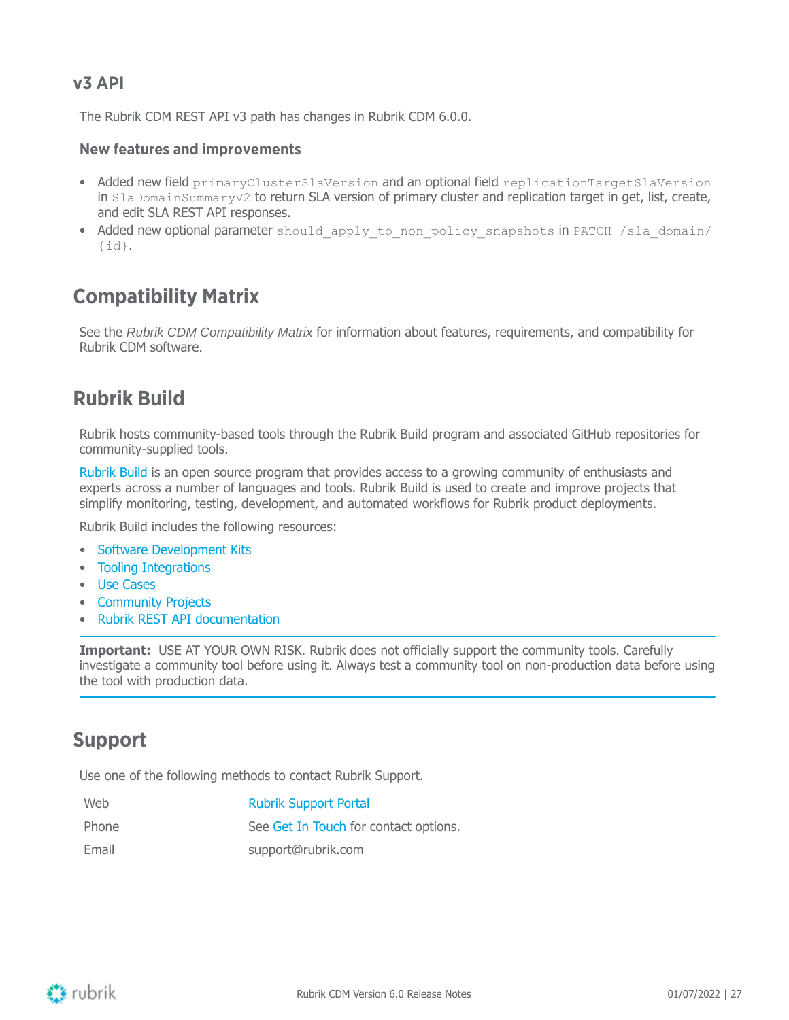### <span id="page-26-0"></span>**v3 API**

The Rubrik CDM REST API v3 path has changes in Rubrik CDM 6.0.0.

#### **New features and improvements**

- Added new field primaryClusterSlaVersion and an optional field replicationTargetSlaVersion in SlaDomainSummaryV2 to return SLA version of primary cluster and replication target in get, list, create, and edit SLA REST API responses.
- Added new optional parameter should apply to non policy snapshots in PATCH /sla\_domain/ {id}.

## <span id="page-26-1"></span>**Compatibility Matrix**

See the Rubrik CDM Compatibility Matrix for information about features, requirements, and compatibility for Rubrik CDM software.

### <span id="page-26-2"></span>**Rubrik Build**

Rubrik hosts community-based tools through the Rubrik Build program and associated GitHub repositories for community-supplied tools.

[Rubrik](https://build.rubrik.com/) Build is an open source program that provides access to a growing community of enthusiasts and experts across a number of languages and tools. Rubrik Build is used to create and improve projects that simplify monitoring, testing, development, and automated workflows for Rubrik product deployments.

Rubrik Build includes the following resources:

- Software [Development](https://build.rubrik.com/sdks/) Kits
- Tooling [Integrations](https://build.rubrik.com/tooling-integrations/)
- [Use Cases](https://build.rubrik.com/use-cases/)
- [Community](https://build.rubrik.com/community-projects/) Projects
- Rubrik REST API [documentation](https://github.com/rubrikinc/api-documentation)

**Important:** USE AT YOUR OWN RISK. Rubrik does not officially support the community tools. Carefully investigate a community tool before using it. Always test a community tool on non-production data before using the tool with production data.

### <span id="page-26-3"></span>**Support**

Use one of the following methods to contact Rubrik Support.

| Web   | <b>Rubrik Support Portal</b>          |
|-------|---------------------------------------|
| Phone | See Get In Touch for contact options. |
| Email | support@rubrik.com                    |

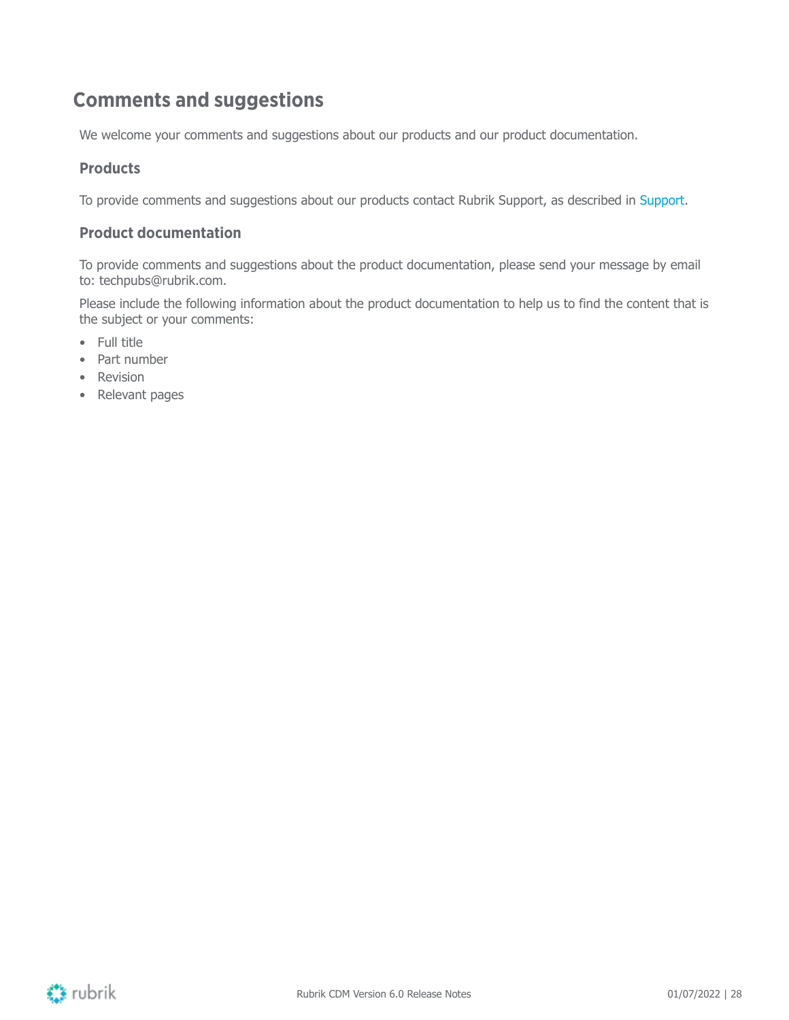## <span id="page-27-0"></span>**Comments and suggestions**

We welcome your comments and suggestions about our products and our product documentation.

#### **Products**

To provide comments and suggestions about our products contact Rubrik Support, as described in [Support](#page-26-3).

#### **Product documentation**

To provide comments and suggestions about the product documentation, please send your message by email to: techpubs@rubrik.com.

Please include the following information about the product documentation to help us to find the content that is the subject or your comments:

- Full title
- Part number
- Revision
- Relevant pages